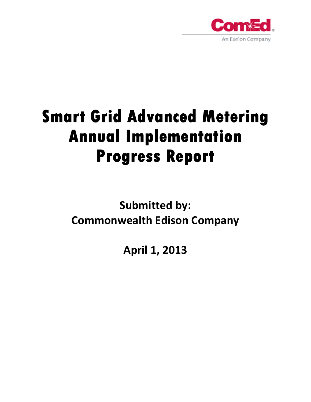

# **Smart Grid Advanced Metering Annual Implementation Progress Report**

**Submitted by: Commonwealth Edison Company**

**April 1, 2013**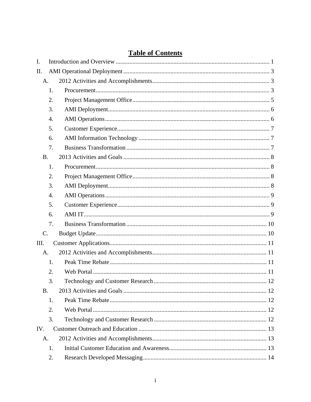|  | <b>Table of Contents</b> |
|--|--------------------------|
|  |                          |

| I.        |    |  |  |  |  |  |  |
|-----------|----|--|--|--|--|--|--|
| II.       |    |  |  |  |  |  |  |
| A.        |    |  |  |  |  |  |  |
|           | 1. |  |  |  |  |  |  |
|           | 2. |  |  |  |  |  |  |
|           | 3. |  |  |  |  |  |  |
|           | 4. |  |  |  |  |  |  |
|           | 5. |  |  |  |  |  |  |
|           | 6. |  |  |  |  |  |  |
|           | 7. |  |  |  |  |  |  |
| <b>B.</b> |    |  |  |  |  |  |  |
|           | 1. |  |  |  |  |  |  |
|           | 2. |  |  |  |  |  |  |
|           | 3. |  |  |  |  |  |  |
|           | 4. |  |  |  |  |  |  |
|           | 5. |  |  |  |  |  |  |
|           | 6. |  |  |  |  |  |  |
|           | 7. |  |  |  |  |  |  |
| C.        |    |  |  |  |  |  |  |
| III.      |    |  |  |  |  |  |  |
| A.        |    |  |  |  |  |  |  |
|           | 1. |  |  |  |  |  |  |
|           | 2. |  |  |  |  |  |  |
|           | 3. |  |  |  |  |  |  |
| <b>B.</b> |    |  |  |  |  |  |  |
|           | 1. |  |  |  |  |  |  |
|           | 2. |  |  |  |  |  |  |
|           | 3. |  |  |  |  |  |  |
| IV.       |    |  |  |  |  |  |  |
| A.        |    |  |  |  |  |  |  |
|           | 1. |  |  |  |  |  |  |
|           | 2. |  |  |  |  |  |  |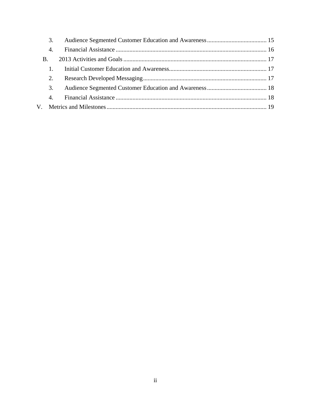|                | 3. |  |  |  |  |  |  |
|----------------|----|--|--|--|--|--|--|
|                | 4. |  |  |  |  |  |  |
| $\mathbf{B}$ . |    |  |  |  |  |  |  |
|                |    |  |  |  |  |  |  |
|                | 2. |  |  |  |  |  |  |
|                | 3. |  |  |  |  |  |  |
|                | 4. |  |  |  |  |  |  |
|                |    |  |  |  |  |  |  |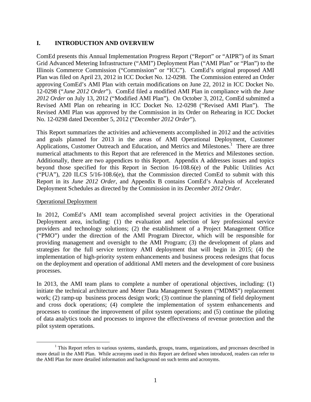#### **I. INTRODUCTION AND OVERVIEW**

ComEd presents this Annual Implementation Progress Report ("Report" or "AIPR") of its Smart Grid Advanced Metering Infrastructure ("AMI") Deployment Plan ("AMI Plan" or "Plan") to the Illinois Commerce Commission ("Commission" or "ICC"). ComEd's original proposed AMI Plan was filed on April 23, 2012 in ICC Docket No. 12-0298. The Commission entered an Order approving ComEd's AMI Plan with certain modifications on June 22, 2012 in ICC Docket No. 12-0298 ("*June 2012 Order*"). ComEd filed a modified AMI Plan in compliance with the *June 2012 Order* on July 13, 2012 ("Modified AMI Plan"). On October 3, 2012, ComEd submitted a Revised AMI Plan on rehearing in ICC Docket No. 12-0298 ("Revised AMI Plan"). The Revised AMI Plan was approved by the Commission in its Order on Rehearing in ICC Docket No. 12-0298 dated December 5, 2012 ("*December 2012 Order*").

This Report summarizes the activities and achievements accomplished in 2012 and the activities and goals planned for 2013 in the areas of AMI Operational Deployment, Customer Applications, Customer Outreach and Education, and Metrics and Milestones.<sup>1</sup> There are three numerical attachments to this Report that are referenced in the Metrics and Milestones section. Additionally, there are two appendices to this Report. Appendix A addresses issues and topics beyond those specified for this Report in Section 16-108.6(e) of the Public Utilities Act ("PUA"), 220 ILCS  $5/16-108.6(e)$ , that the Commission directed ComEd to submit with this Report in its *June 2012 Order*, and Appendix B contains ComEd's Analysis of Accelerated Deployment Schedules as directed by the Commission in its *December 2012 Order*.

#### Operational Deployment

In 2012, ComEd's AMI team accomplished several project activities in the Operational Deployment area, including: (1) the evaluation and selection of key professional service providers and technology solutions; (2) the establishment of a Project Management Office ("PMO") under the direction of the AMI Program Director, which will be responsible for providing management and oversight to the AMI Program; (3) the development of plans and strategies for the full service territory AMI deployment that will begin in 2015; (4) the implementation of high-priority system enhancements and business process redesigns that focus on the deployment and operation of additional AMI meters and the development of core business processes.

In 2013, the AMI team plans to complete a number of operational objectives, including: (1) initiate the technical architecture and Meter Data Management System ("MDMS") replacement work; (2) ramp-up business process design work; (3) continue the planning of field deployment and cross dock operations; (4) complete the implementation of system enhancements and processes to continue the improvement of pilot system operations; and (5) continue the piloting of data analytics tools and processes to improve the effectiveness of revenue protection and the pilot system operations.

 $\frac{1}{1}$ <sup>1</sup> This Report refers to various systems, standards, groups, teams, organizations, and processes described in more detail in the AMI Plan. While acronyms used in this Report are defined when introduced, readers can refer to the AMI Plan for more detailed information and background on such terms and acronyms.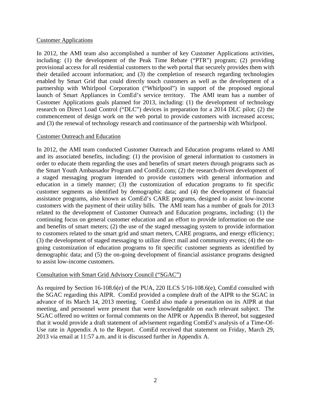#### Customer Applications

In 2012, the AMI team also accomplished a number of key Customer Applications activities, including: (1) the development of the Peak Time Rebate ("PTR") program; (2) providing provisional access for all residential customers to the web portal that securely provides them with their detailed account information; and (3) the completion of research regarding technologies enabled by Smart Grid that could directly touch customers as well as the development of a partnership with Whirlpool Corporation ("Whirlpool") in support of the proposed regional launch of Smart Appliances in ComEd's service territory. The AMI team has a number of Customer Applications goals planned for 2013, including: (1) the development of technology research on Direct Load Control ("DLC") devices in preparation for a 2014 DLC pilot; (2) the commencement of design work on the web portal to provide customers with increased access; and (3) the renewal of technology research and continuance of the partnership with Whirlpool.

#### Customer Outreach and Education

In 2012, the AMI team conducted Customer Outreach and Education programs related to AMI and its associated benefits, including: (1) the provision of general information to customers in order to educate them regarding the uses and benefits of smart meters through programs such as the Smart Youth Ambassador Program and ComEd.com; (2) the research-driven development of a staged messaging program intended to provide customers with general information and education in a timely manner; (3) the customization of education programs to fit specific customer segments as identified by demographic data; and (4) the development of financial assistance programs, also known as ComEd's CARE programs, designed to assist low-income customers with the payment of their utility bills. The AMI team has a number of goals for 2013 related to the development of Customer Outreach and Education programs, including: (1) the continuing focus on general customer education and an effort to provide information on the use and benefits of smart meters; (2) the use of the staged messaging system to provide information to customers related to the smart grid and smart meters, CARE programs, and energy efficiency; (3) the development of staged messaging to utilize direct mail and community events; (4) the ongoing customization of education programs to fit specific customer segments as identified by demographic data; and (5) the on-going development of financial assistance programs designed to assist low-income customers.

#### Consultation with Smart Grid Advisory Council ("SGAC")

As required by Section 16-108.6(e) of the PUA, 220 ILCS 5/16-108.6(e), ComEd consulted with the SGAC regarding this AIPR. ComEd provided a complete draft of the AIPR to the SGAC in advance of its March 14, 2013 meeting. ComEd also made a presentation on its AIPR at that meeting, and personnel were present that were knowledgeable on each relevant subject. The SGAC offered no written or formal comments on the AIPR or Appendix B thereof, but suggested that it would provide a draft statement of advisement regarding ComEd's analysis of a Time-Of-Use rate in Appendix A to the Report. ComEd received that statement on Friday, March 29, 2013 via email at 11:57 a.m. and it is discussed further in Appendix A.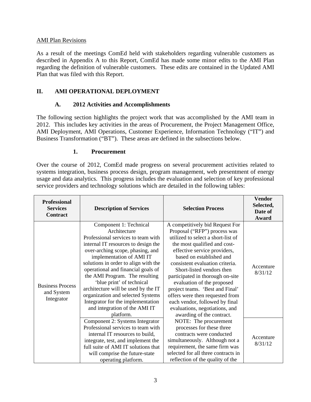#### AMI Plan Revisions

As a result of the meetings ComEd held with stakeholders regarding vulnerable customers as described in Appendix A to this Report, ComEd has made some minor edits to the AMI Plan regarding the definition of vulnerable customers. These edits are contained in the Updated AMI Plan that was filed with this Report.

#### **II. AMI OPERATIONAL DEPLOYMENT**

## **A. 2012 Activities and Accomplishments**

The following section highlights the project work that was accomplished by the AMI team in 2012. This includes key activities in the areas of Procurement, the Project Management Office, AMI Deployment, AMI Operations, Customer Experience, Information Technology ("IT") and Business Transformation ("BT"). These areas are defined in the subsections below.

#### **1. Procurement**

Over the course of 2012, ComEd made progress on several procurement activities related to systems integration, business process design, program management, web presentment of energy usage and data analytics. This progress includes the evaluation and selection of key professional service providers and technology solutions which are detailed in the following tables:

| <b>Professional</b><br><b>Services</b><br>Contract  | <b>Description of Services</b>                                                                                                                                                                                                                                                                                                                                                                                                                                                                  | <b>Selection Process</b>                                                                                                                                                                                                                                                                                                                                                                                                                                                                                   | <b>Vendor</b><br>Selected,<br>Date of<br>Award |
|-----------------------------------------------------|-------------------------------------------------------------------------------------------------------------------------------------------------------------------------------------------------------------------------------------------------------------------------------------------------------------------------------------------------------------------------------------------------------------------------------------------------------------------------------------------------|------------------------------------------------------------------------------------------------------------------------------------------------------------------------------------------------------------------------------------------------------------------------------------------------------------------------------------------------------------------------------------------------------------------------------------------------------------------------------------------------------------|------------------------------------------------|
| <b>Business Process</b><br>and System<br>Integrator | Component 1: Technical<br>Architecture<br>Professional services to team with<br>internal IT resources to design the<br>over-arching scope, phasing, and<br>implementation of AMI IT<br>solutions in order to align with the<br>operational and financial goals of<br>the AMI Program. The resulting<br>'blue print' of technical<br>architecture will be used by the IT<br>organization and selected Systems<br>Integrator for the implementation<br>and integration of the AMI IT<br>platform. | A competitively bid Request For<br>Proposal ("RFP") process was<br>utilized to select a short-list of<br>the most qualified and cost-<br>effective service providers,<br>based on established and<br>consistent evaluation criteria.<br>Short-listed vendors then<br>participated in thorough on-site<br>evaluation of the proposed<br>project teams. 'Best and Final'<br>offers were then requested from<br>each vendor, followed by final<br>evaluations, negotiations, and<br>awarding of the contract. | Accenture<br>8/31/12                           |
|                                                     | Component 2: Systems Integrator<br>Professional services to team with<br>internal IT resources to build,<br>integrate, test, and implement the<br>full suite of AMI IT solutions that<br>will comprise the future-state<br>operating platform.                                                                                                                                                                                                                                                  | NOTE: The procurement<br>processes for these three<br>contracts were conducted<br>simultaneously. Although not a<br>requirement, the same firm was<br>selected for all three contracts in<br>reflection of the quality of the                                                                                                                                                                                                                                                                              | Accenture<br>8/31/12                           |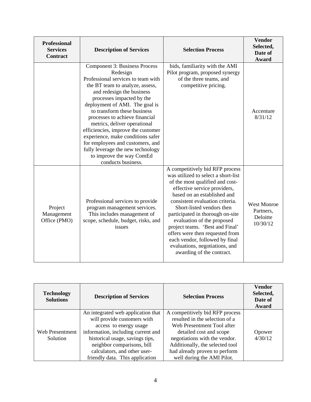| <b>Professional</b><br><b>Services</b><br><b>Contract</b> | <b>Description of Services</b>                                                                                                                                                                                                                                                                                                                                                                                                                                                                                        | <b>Selection Process</b>                                                                                                                                                                                                                                                                                                                                                                                                                                                          | <b>Vendor</b><br>Selected,<br>Date of<br>Award          |
|-----------------------------------------------------------|-----------------------------------------------------------------------------------------------------------------------------------------------------------------------------------------------------------------------------------------------------------------------------------------------------------------------------------------------------------------------------------------------------------------------------------------------------------------------------------------------------------------------|-----------------------------------------------------------------------------------------------------------------------------------------------------------------------------------------------------------------------------------------------------------------------------------------------------------------------------------------------------------------------------------------------------------------------------------------------------------------------------------|---------------------------------------------------------|
|                                                           | Component 3: Business Process<br>Redesign<br>Professional services to team with<br>the BT team to analyze, assess,<br>and redesign the business<br>processes impacted by the<br>deployment of AMI. The goal is<br>to transform these business<br>processes to achieve financial<br>metrics, deliver operational<br>efficiencies, improve the customer<br>experience, make conditions safer<br>for employees and customers, and<br>fully leverage the new technology<br>to improve the way ComEd<br>conducts business. | bids, familiarity with the AMI<br>Pilot program, proposed synergy<br>of the three teams, and<br>competitive pricing.                                                                                                                                                                                                                                                                                                                                                              | Accenture<br>8/31/12                                    |
| Project<br>Management<br>Office (PMO)                     | Professional services to provide<br>program management services.<br>This includes management of<br>scope, schedule, budget, risks, and<br>issues                                                                                                                                                                                                                                                                                                                                                                      | A competitively bid RFP process<br>was utilized to select a short-list<br>of the most qualified and cost-<br>effective service providers,<br>based on an established and<br>consistent evaluation criteria.<br>Short-listed vendors then<br>participated in thorough on-site<br>evaluation of the proposed<br>project teams. 'Best and Final'<br>offers were then requested from<br>each vendor, followed by final<br>evaluations, negotiations, and<br>awarding of the contract. | <b>West Monroe</b><br>Partners,<br>Deloitte<br>10/30/12 |

| <b>Technology</b><br><b>Solutions</b> | <b>Description of Services</b>                                                                                                                                                                                                                                        | <b>Selection Process</b>                                                                                                                                                                                                                                      | Vendor<br>Selected,<br>Date of<br>Award |
|---------------------------------------|-----------------------------------------------------------------------------------------------------------------------------------------------------------------------------------------------------------------------------------------------------------------------|---------------------------------------------------------------------------------------------------------------------------------------------------------------------------------------------------------------------------------------------------------------|-----------------------------------------|
| Web Presentment<br>Solution           | An integrated web application that<br>will provide customers with<br>access to energy usage<br>information, including current and<br>historical usage, savings tips,<br>neighbor comparisons, bill<br>calculators, and other user-<br>friendly data. This application | A competitively bid RFP process<br>resulted in the selection of a<br>Web Presentment Tool after<br>detailed cost and scope<br>negotiations with the vendor.<br>Additionally, the selected tool<br>had already proven to perform<br>well during the AMI Pilot. | Opower<br>4/30/12                       |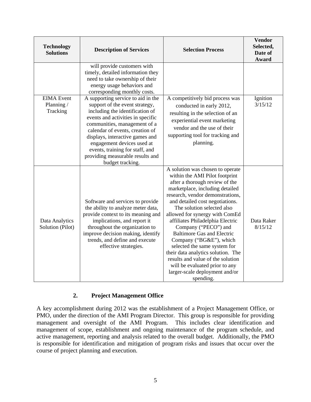| <b>Technology</b><br><b>Solutions</b>       | <b>Description of Services</b>                                                                                                                                                                                                                                                                                                                                              | <b>Selection Process</b>                                                                                                                                                                                                                                                                                                                                                                                                                                                                                                                                                                               | <b>Vendor</b><br>Selected,<br>Date of<br><b>Award</b> |
|---------------------------------------------|-----------------------------------------------------------------------------------------------------------------------------------------------------------------------------------------------------------------------------------------------------------------------------------------------------------------------------------------------------------------------------|--------------------------------------------------------------------------------------------------------------------------------------------------------------------------------------------------------------------------------------------------------------------------------------------------------------------------------------------------------------------------------------------------------------------------------------------------------------------------------------------------------------------------------------------------------------------------------------------------------|-------------------------------------------------------|
|                                             | will provide customers with<br>timely, detailed information they<br>need to take ownership of their<br>energy usage behaviors and<br>corresponding monthly costs.                                                                                                                                                                                                           |                                                                                                                                                                                                                                                                                                                                                                                                                                                                                                                                                                                                        |                                                       |
| <b>EIMA</b> Event<br>Planning /<br>Tracking | A supporting service to aid in the<br>support of the event strategy,<br>including the identification of<br>events and activities in specific<br>communities, management of a<br>calendar of events, creation of<br>displays, interactive games and<br>engagement devices used at<br>events, training for staff, and<br>providing measurable results and<br>budget tracking. | A competitively bid process was<br>conducted in early 2012,<br>resulting in the selection of an<br>experiential event marketing<br>vendor and the use of their<br>supporting tool for tracking and<br>planning.                                                                                                                                                                                                                                                                                                                                                                                        | Ignition<br>3/15/12                                   |
| Data Analytics<br>Solution (Pilot)          | Software and services to provide<br>the ability to analyze meter data,<br>provide context to its meaning and<br>implications, and report it<br>throughout the organization to<br>improve decision making, identify<br>trends, and define and execute<br>effective strategies.                                                                                               | A solution was chosen to operate<br>within the AMI Pilot footprint<br>after a thorough review of the<br>marketplace, including detailed<br>research, vendor demonstrations,<br>and detailed cost negotiations.<br>The solution selected also<br>allowed for synergy with ComEd<br>affiliates Philadelphia Electric<br>Company ("PECO") and<br><b>Baltimore Gas and Electric</b><br>Company ("BG&E"), which<br>selected the same system for<br>their data analytics solution. The<br>results and value of the solution<br>will be evaluated prior to any<br>larger-scale deployment and/or<br>spending. | Data Raker<br>8/15/12                                 |

#### **2. Project Management Office**

A key accomplishment during 2012 was the establishment of a Project Management Office, or PMO, under the direction of the AMI Program Director. This group is responsible for providing management and oversight of the AMI Program. This includes clear identification and management of scope, establishment and ongoing maintenance of the program schedule, and active management, reporting and analysis related to the overall budget. Additionally, the PMO is responsible for identification and mitigation of program risks and issues that occur over the course of project planning and execution.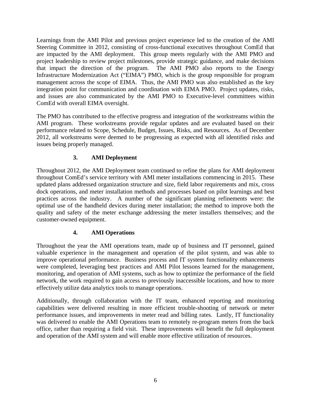Learnings from the AMI Pilot and previous project experience led to the creation of the AMI Steering Committee in 2012, consisting of cross-functional executives throughout ComEd that are impacted by the AMI deployment. This group meets regularly with the AMI PMO and project leadership to review project milestones, provide strategic guidance, and make decisions that impact the direction of the program. The AMI PMO also reports to the Energy Infrastructure Modernization Act ("EIMA") PMO, which is the group responsible for program management across the scope of EIMA. Thus, the AMI PMO was also established as the key integration point for communication and coordination with EIMA PMO. Project updates, risks, and issues are also communicated by the AMI PMO to Executive-level committees within ComEd with overall EIMA oversight.

The PMO has contributed to the effective progress and integration of the workstreams within the AMI program. These workstreams provide regular updates and are evaluated based on their performance related to Scope, Schedule, Budget, Issues, Risks, and Resources. As of December 2012, all workstreams were deemed to be progressing as expected with all identified risks and issues being properly managed.

# **3. AMI Deployment**

Throughout 2012, the AMI Deployment team continued to refine the plans for AMI deployment throughout ComEd's service territory with AMI meter installations commencing in 2015. These updated plans addressed organization structure and size, field labor requirements and mix, cross dock operations, and meter installation methods and processes based on pilot learnings and best practices across the industry. A number of the significant planning refinements were: the optimal use of the handheld devices during meter installation; the method to improve both the quality and safety of the meter exchange addressing the meter installers themselves; and the customer-owned equipment.

#### **4. AMI Operations**

Throughout the year the AMI operations team, made up of business and IT personnel, gained valuable experience in the management and operation of the pilot system, and was able to improve operational performance. Business process and IT system functionality enhancements were completed, leveraging best practices and AMI Pilot lessons learned for the management, monitoring, and operation of AMI systems, such as how to optimize the performance of the field network, the work required to gain access to previously inaccessible locations, and how to more effectively utilize data analytics tools to manage operations.

Additionally, through collaboration with the IT team, enhanced reporting and monitoring capabilities were delivered resulting in more efficient trouble-shooting of network or meter performance issues, and improvements in meter read and billing rates. Lastly, IT functionality was delivered to enable the AMI Operations team to remotely re-program meters from the back office, rather than requiring a field visit. These improvements will benefit the full deployment and operation of the AMI system and will enable more effective utilization of resources.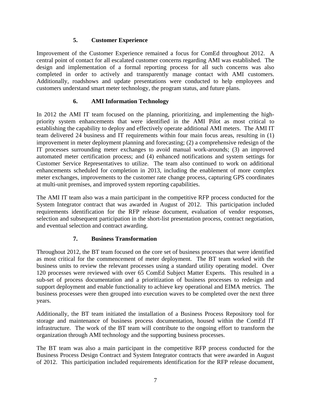## **5. Customer Experience**

Improvement of the Customer Experience remained a focus for ComEd throughout 2012. A central point of contact for all escalated customer concerns regarding AMI was established. The design and implementation of a formal reporting process for all such concerns was also completed in order to actively and transparently manage contact with AMI customers. Additionally, roadshows and update presentations were conducted to help employees and customers understand smart meter technology, the program status, and future plans.

## **6. AMI Information Technology**

In 2012 the AMI IT team focused on the planning, prioritizing, and implementing the highpriority system enhancements that were identified in the AMI Pilot as most critical to establishing the capability to deploy and effectively operate additional AMI meters. The AMI IT team delivered 24 business and IT requirements within four main focus areas, resulting in (1) improvement in meter deployment planning and forecasting; (2) a comprehensive redesign of the IT processes surrounding meter exchanges to avoid manual work-arounds; (3) an improved automated meter certification process; and (4) enhanced notifications and system settings for Customer Service Representatives to utilize. The team also continued to work on additional enhancements scheduled for completion in 2013, including the enablement of more complex meter exchanges, improvements to the customer rate change process, capturing GPS coordinates at multi-unit premises, and improved system reporting capabilities.

The AMI IT team also was a main participant in the competitive RFP process conducted for the System Integrator contract that was awarded in August of 2012. This participation included requirements identification for the RFP release document, evaluation of vendor responses, selection and subsequent participation in the short-list presentation process, contract negotiation, and eventual selection and contract awarding.

# **7. Business Transformation**

Throughout 2012, the BT team focused on the core set of business processes that were identified as most critical for the commencement of meter deployment. The BT team worked with the business units to review the relevant processes using a standard utility operating model. Over 120 processes were reviewed with over 65 ComEd Subject Matter Experts. This resulted in a sub-set of process documentation and a prioritization of business processes to redesign and support deployment and enable functionality to achieve key operational and EIMA metrics. The business processes were then grouped into execution waves to be completed over the next three years.

Additionally, the BT team initiated the installation of a Business Process Repository tool for storage and maintenance of business process documentation, housed within the ComEd IT infrastructure. The work of the BT team will contribute to the ongoing effort to transform the organization through AMI technology and the supporting business processes.

The BT team was also a main participant in the competitive RFP process conducted for the Business Process Design Contract and System Integrator contracts that were awarded in August of 2012. This participation included requirements identification for the RFP release document,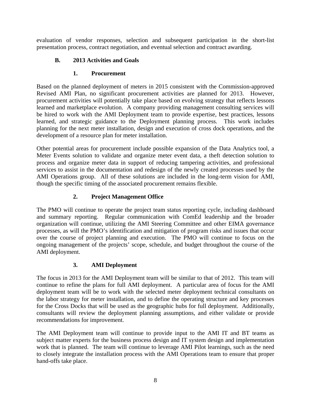evaluation of vendor responses, selection and subsequent participation in the short-list presentation process, contract negotiation, and eventual selection and contract awarding.

# **B. 2013 Activities and Goals**

#### **1. Procurement**

Based on the planned deployment of meters in 2015 consistent with the Commission-approved Revised AMI Plan, no significant procurement activities are planned for 2013. However, procurement activities will potentially take place based on evolving strategy that reflects lessons learned and marketplace evolution. A company providing management consulting services will be hired to work with the AMI Deployment team to provide expertise, best practices, lessons learned, and strategic guidance to the Deployment planning process. This work includes planning for the next meter installation, design and execution of cross dock operations, and the development of a resource plan for meter installation.

Other potential areas for procurement include possible expansion of the Data Analytics tool, a Meter Events solution to validate and organize meter event data, a theft detection solution to process and organize meter data in support of reducing tampering activities, and professional services to assist in the documentation and redesign of the newly created processes used by the AMI Operations group. All of these solutions are included in the long-term vision for AMI, though the specific timing of the associated procurement remains flexible.

# **2. Project Management Office**

The PMO will continue to operate the project team status reporting cycle, including dashboard and summary reporting. Regular communication with ComEd leadership and the broader organization will continue, utilizing the AMI Steering Committee and other EIMA governance processes, as will the PMO's identification and mitigation of program risks and issues that occur over the course of project planning and execution. The PMO will continue to focus on the ongoing management of the projects' scope, schedule, and budget throughout the course of the AMI deployment.

#### **3. AMI Deployment**

The focus in 2013 for the AMI Deployment team will be similar to that of 2012. This team will continue to refine the plans for full AMI deployment. A particular area of focus for the AMI deployment team will be to work with the selected meter deployment technical consultants on the labor strategy for meter installation, and to define the operating structure and key processes for the Cross Docks that will be used as the geographic hubs for full deployment. Additionally, consultants will review the deployment planning assumptions, and either validate or provide recommendations for improvement.

The AMI Deployment team will continue to provide input to the AMI IT and BT teams as subject matter experts for the business process design and IT system design and implementation work that is planned. The team will continue to leverage AMI Pilot learnings, such as the need to closely integrate the installation process with the AMI Operations team to ensure that proper hand-offs take place.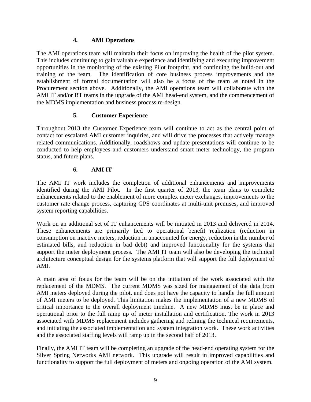#### **4. AMI Operations**

The AMI operations team will maintain their focus on improving the health of the pilot system. This includes continuing to gain valuable experience and identifying and executing improvement opportunities in the monitoring of the existing Pilot footprint, and continuing the build-out and training of the team. The identification of core business process improvements and the establishment of formal documentation will also be a focus of the team as noted in the Procurement section above. Additionally, the AMI operations team will collaborate with the AMI IT and/or BT teams in the upgrade of the AMI head-end system, and the commencement of the MDMS implementation and business process re-design.

## **5. Customer Experience**

Throughout 2013 the Customer Experience team will continue to act as the central point of contact for escalated AMI customer inquiries, and will drive the processes that actively manage related communications. Additionally, roadshows and update presentations will continue to be conducted to help employees and customers understand smart meter technology, the program status, and future plans.

## **6. AMI IT**

The AMI IT work includes the completion of additional enhancements and improvements identified during the AMI Pilot. In the first quarter of 2013, the team plans to complete enhancements related to the enablement of more complex meter exchanges, improvements to the customer rate change process, capturing GPS coordinates at multi-unit premises, and improved system reporting capabilities.

Work on an additional set of IT enhancements will be initiated in 2013 and delivered in 2014. These enhancements are primarily tied to operational benefit realization (reduction in consumption on inactive meters, reduction in unaccounted for energy, reduction in the number of estimated bills, and reduction in bad debt) and improved functionality for the systems that support the meter deployment process. The AMI IT team will also be developing the technical architecture conceptual design for the systems platform that will support the full deployment of AMI.

A main area of focus for the team will be on the initiation of the work associated with the replacement of the MDMS. The current MDMS was sized for management of the data from AMI meters deployed during the pilot, and does not have the capacity to handle the full amount of AMI meters to be deployed. This limitation makes the implementation of a new MDMS of critical importance to the overall deployment timeline. A new MDMS must be in place and operational prior to the full ramp up of meter installation and certification. The work in 2013 associated with MDMS replacement includes gathering and refining the technical requirements, and initiating the associated implementation and system integration work. These work activities and the associated staffing levels will ramp up in the second half of 2013.

Finally, the AMI IT team will be completing an upgrade of the head-end operating system for the Silver Spring Networks AMI network. This upgrade will result in improved capabilities and functionality to support the full deployment of meters and ongoing operation of the AMI system.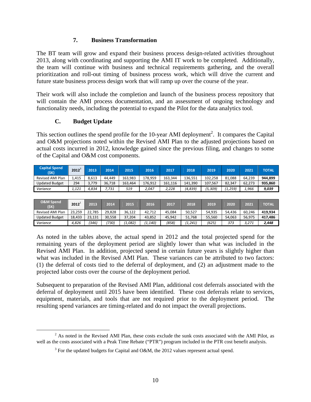#### **7. Business Transformation**

The BT team will grow and expand their business process design-related activities throughout 2013, along with coordinating and supporting the AMI IT work to be completed. Additionally, the team will continue with business and technical requirements gathering, and the overall prioritization and roll-out timing of business process work, which will drive the current and future state business process design work that will ramp up over the course of the year.

Their work will also include the completion and launch of the business process repository that will contain the AMI process documentation, and an assessment of ongoing technology and functionality needs, including the potential to expand the Pilot for the data analytics tool.

#### **C. Budget Update**

This section outlines the spend profile for the  $10$ -year AMI deployment<sup>2</sup>. It compares the Capital and O&M projections noted within the Revised AMI Plan to the adjusted projections based on actual costs incurred in 2012, knowledge gained since the previous filing, and changes to some of the Capital and O&M cost components.

| <b>Capital Spend</b><br>(SK) | 2012  | 2013  | 2014   | 2015    | 2016    | 2017    | 2018    | 2019    | 2020     | 2021   | <b>TOTAL</b> |
|------------------------------|-------|-------|--------|---------|---------|---------|---------|---------|----------|--------|--------------|
| Revised AMI Plan             | 1.415 | 8.613 | 44.449 | 163.983 | 178.959 | 163.344 | 136.551 | 102.258 | 81.088   | 64.239 | 944,899      |
| <b>Updated Budget</b>        | 294   | 3.779 | 36,718 | 163.464 | 176.912 | 161.116 | 141,390 | 107.567 | 82.347   | 62,273 | 935,860      |
| Variance                     | 1.121 | 4.834 | 7.731  | 519     | 2,047   | 2.228   | (4,839) | (5,309, | (1, 259) | 1,966  | 9,039        |

| <b>O&amp;M Spend</b><br>(\$K) | 2012   | 2013   | 2014   | 2015   | 2016     | 2017   | 2018    | 2019   | 2020   | 2021   | ΤΟΤΑΙ   |
|-------------------------------|--------|--------|--------|--------|----------|--------|---------|--------|--------|--------|---------|
| Revised AMI Plan              | 23.259 | 22.785 | 29.828 | 36.122 | 42,712   | 45.084 | 50.527  | 54.935 | 54.436 | 60.246 | 419.934 |
| <b>Updated Budget</b>         | 18.433 | 23.131 | 30.558 | 37,204 | 43,852   | 45.942 | 51.768  | 55.560 | 54.063 | 56.975 | 417,486 |
| Variance                      | 4,826  | (346)  | '730)  | 1,082  | , 1,140) | (858)  | '1,241) | (625,  | 373    | 3,271  | 2.448   |

As noted in the tables above, the actual spend in 2012 and the total projected spend for the remaining years of the deployment period are slightly lower than what was included in the Revised AMI Plan. In addition, projected spend in certain future years is slightly higher than what was included in the Revised AMI Plan. These variances can be attributed to two factors: (1) the deferral of costs tied to the deferral of deployment, and (2) an adjustment made to the projected labor costs over the course of the deployment period.

Subsequent to preparation of the Revised AMI Plan, additional cost deferrals associated with the deferral of deployment until 2015 have been identified. These cost deferrals relate to services, equipment, materials, and tools that are not required prior to the deployment period. The resulting spend variances are timing-related and do not impact the overall projections.

 $\frac{1}{2}$  $^{2}$  As noted in the Revised AMI Plan, these costs exclude the sunk costs associated with the AMI Pilot, as well as the costs associated with a Peak Time Rebate ("PTR") program included in the PTR cost benefit analysis.

<sup>&</sup>lt;sup>3</sup> For the updated budgets for Capital and O&M, the 2012 values represent actual spend.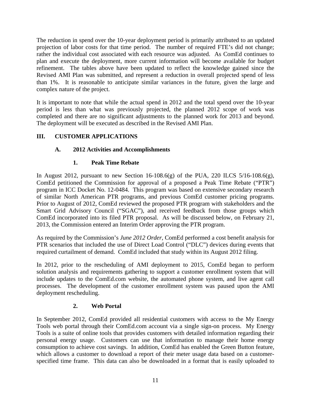The reduction in spend over the 10-year deployment period is primarily attributed to an updated projection of labor costs for that time period. The number of required FTE's did not change; rather the individual cost associated with each resource was adjusted. As ComEd continues to plan and execute the deployment, more current information will become available for budget refinement. The tables above have been updated to reflect the knowledge gained since the Revised AMI Plan was submitted, and represent a reduction in overall projected spend of less than 1%. It is reasonable to anticipate similar variances in the future, given the large and complex nature of the project.

It is important to note that while the actual spend in 2012 and the total spend over the 10-year period is less than what was previously projected, the planned 2012 scope of work was completed and there are no significant adjustments to the planned work for 2013 and beyond. The deployment will be executed as described in the Revised AMI Plan.

# **III. CUSTOMER APPLICATIONS**

# **A. 2012 Activities and Accomplishments**

# **1. Peak Time Rebate**

In August 2012, pursuant to new Section 16-108.6(g) of the PUA, 220 ILCS 5/16-108.6(g), ComEd petitioned the Commission for approval of a proposed a Peak Time Rebate ("PTR") program in ICC Docket No. 12-0484. This program was based on extensive secondary research of similar North American PTR programs, and previous ComEd customer pricing programs. Prior to August of 2012, ComEd reviewed the proposed PTR program with stakeholders and the Smart Grid Advisory Council ("SGAC"), and received feedback from those groups which ComEd incorporated into its filed PTR proposal. As will be discussed below, on February 21, 2013, the Commission entered an Interim Order approving the PTR program.

As required by the Commission's *June 2012 Order*, ComEd performed a cost benefit analysis for PTR scenarios that included the use of Direct Load Control ("DLC") devices during events that required curtailment of demand. ComEd included that study within its August 2012 filing.

In 2012, prior to the rescheduling of AMI deployment to 2015, ComEd began to perform solution analysis and requirements gathering to support a customer enrollment system that will include updates to the ComEd.com website, the automated phone system, and live agent call processes. The development of the customer enrollment system was paused upon the AMI deployment rescheduling.

# **2. Web Portal**

In September 2012, ComEd provided all residential customers with access to the My Energy Tools web portal through their ComEd.com account via a single sign-on process. My Energy Tools is a suite of online tools that provides customers with detailed information regarding their personal energy usage. Customers can use that information to manage their home energy consumption to achieve cost savings. In addition, ComEd has enabled the Green Button feature, which allows a customer to download a report of their meter usage data based on a customerspecified time frame. This data can also be downloaded in a format that is easily uploaded to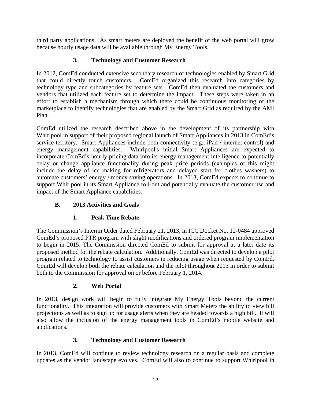third party applications. As smart meters are deployed the benefit of the web portal will grow because hourly usage data will be available through My Energy Tools.

# **3. Technology and Customer Research**

In 2012, ComEd conducted extensive secondary research of technologies enabled by Smart Grid that could directly touch customers. ComEd organized this research into categories by technology type and subcategories by feature sets. ComEd then evaluated the customers and vendors that utilized each feature set to determine the impact. These steps were taken in an effort to establish a mechanism through which there could be continuous monitoring of the marketplace to identify technologies that are enabled by the Smart Grid as required by the AMI Plan.

ComEd utilized the research described above in the development of its partnership with Whirlpool in support of their proposed regional launch of Smart Appliances in 2013 in ComEd's service territory. Smart Appliances include both connectivity (e.g., iPad / internet control) and energy management capabilities. Whirlpool's initial Smart Appliances are expected to incorporate ComEd's hourly pricing data into its energy management intelligence to potentially delay or change appliance functionality during peak price periods (examples of this might include the delay of ice making for refrigerators and delayed start for clothes washers) to automate customers' energy / money saving operations. In 2013, ComEd expects to continue to support Whirlpool in its Smart Appliance roll-out and potentially evaluate the customer use and impact of the Smart Appliance capabilities.

# **B. 2013 Activities and Goals**

#### **1. Peak Time Rebate**

The Commission's Interim Order dated February 21, 2013, in ICC Docket No. 12-0484 approved ComEd's proposed PTR program with slight modifications and ordered program implementation to begin in 2015. The Commission directed ComEd to submit for approval at a later date its proposed method for the rebate calculation. Additionally, ComEd was directed to develop a pilot program related to technology to assist customers in reducing usage when requested by ComEd. ComEd will develop both the rebate calculation and the pilot throughout 2013 in order to submit both to the Commission for approval on or before February 1, 2014.

#### **2. Web Portal**

In 2013, design work will begin to fully integrate My Energy Tools beyond the current functionality. This integration will provide customers with Smart Meters the ability to view bill projections as well as to sign up for usage alerts when they are headed towards a high bill. It will also allow the inclusion of the energy management tools in ComEd's mobile website and applications.

#### **3. Technology and Customer Research**

In 2013, ComEd will continue to review technology research on a regular basis and complete updates as the vendor landscape evolves. ComEd will also to continue to support Whirlpool in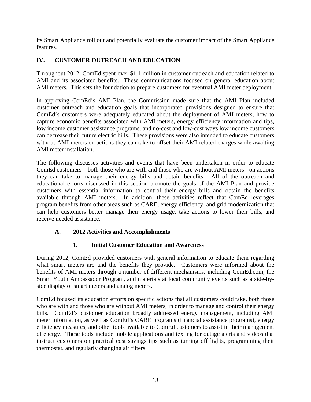its Smart Appliance roll out and potentially evaluate the customer impact of the Smart Appliance features.

# **IV. CUSTOMER OUTREACH AND EDUCATION**

Throughout 2012, ComEd spent over \$1.1 million in customer outreach and education related to AMI and its associated benefits. These communications focused on general education about AMI meters. This sets the foundation to prepare customers for eventual AMI meter deployment.

In approving ComEd's AMI Plan, the Commission made sure that the AMI Plan included customer outreach and education goals that incorporated provisions designed to ensure that ComEd's customers were adequately educated about the deployment of AMI meters, how to capture economic benefits associated with AMI meters, energy efficiency information and tips, low income customer assistance programs, and no-cost and low-cost ways low income customers can decrease their future electric bills. These provisions were also intended to educate customers without AMI meters on actions they can take to offset their AMI-related charges while awaiting AMI meter installation.

The following discusses activities and events that have been undertaken in order to educate ComEd customers – both those who are with and those who are without AMI meters - on actions they can take to manage their energy bills and obtain benefits. All of the outreach and educational efforts discussed in this section promote the goals of the AMI Plan and provide customers with essential information to control their energy bills and obtain the benefits available through AMI meters. In addition, these activities reflect that ComEd leverages program benefits from other areas such as CARE, energy efficiency, and grid modernization that can help customers better manage their energy usage, take actions to lower their bills, and receive needed assistance.

# **A. 2012 Activities and Accomplishments**

# **1. Initial Customer Education and Awareness**

During 2012, ComEd provided customers with general information to educate them regarding what smart meters are and the benefits they provide. Customers were informed about the benefits of AMI meters through a number of different mechanisms, including ComEd.com, the Smart Youth Ambassador Program, and materials at local community events such as a side-byside display of smart meters and analog meters.

ComEd focused its education efforts on specific actions that all customers could take, both those who are with and those who are without AMI meters, in order to manage and control their energy bills. ComEd's customer education broadly addressed energy management, including AMI meter information, as well as ComEd's CARE programs (financial assistance programs), energy efficiency measures, and other tools available to ComEd customers to assist in their management of energy. These tools include mobile applications and texting for outage alerts and videos that instruct customers on practical cost savings tips such as turning off lights, programming their thermostat, and regularly changing air filters.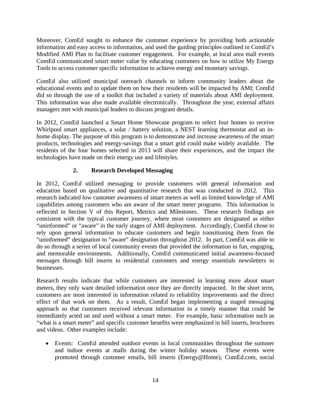Moreover, ComEd sought to enhance the customer experience by providing both actionable information and easy access to information, and used the guiding principles outlined in ComEd's Modified AMI Plan to facilitate customer engagement. For example, at local area mall events ComEd communicated smart meter value by educating customers on how to utilize My Energy Tools to access customer specific information to achieve energy and monetary savings.

ComEd also utilized municipal outreach channels to inform community leaders about the educational events and to update them on how their residents will be impacted by AMI; ComEd did so through the use of a toolkit that included a variety of materials about AMI deployment. This information was also made available electronically. Throughout the year, external affairs managers met with municipal leaders to discuss program details.

In 2012, ComEd launched a Smart Home Showcase program to select four homes to receive Whirlpool smart appliances, a solar / battery solution, a NEST learning thermostat and an inhome display. The purpose of this program is to demonstrate and increase awareness of the smart products, technologies and energy-savings that a smart grid could make widely available. The residents of the four homes selected in 2013 will share their experiences, and the impact the technologies have made on their energy use and lifestyles.

# **2. Research Developed Messaging**

In 2012, ComEd utilized messaging to provide customers with general information and education based on qualitative and quantitative research that was conducted in 2012. This research indicated low customer awareness of smart meters as well as limited knowledge of AMI capabilities among customers who are aware of the smart meter programs. This information is reflected in Section V of this Report, Metrics and Milestones. These research findings are consistent with the typical customer journey, where most customers are designated as either "uninformed" or "aware" in the early stages of AMI deployment. Accordingly, ComEd chose to rely upon general information to educate customers and begin transitioning them from the "uninformed" designation to "aware" designation throughout 2012. In part, ComEd was able to do so through a series of local community events that provided the information in fun, engaging, and memorable environments. Additionally, ComEd communicated initial awareness-focused messages through bill inserts to residential customers and energy essentials newsletters to businesses.

Research results indicate that while customers are interested in learning more about smart meters, they only want detailed information once they are directly impacted. In the short term, customers are most interested in information related to reliability improvements and the direct effect of that work on them. As a result, ComEd began implementing a staged messaging approach so that customers received relevant information in a timely manner that could be immediately acted on and used without a smart meter. For example, basic information such as "what is a smart meter" and specific customer benefits were emphasized in bill inserts, brochures and videos. Other examples include:

 Events: ComEd attended outdoor events in local communities throughout the summer and indoor events at malls during the winter holiday season. These events were promoted through customer emails, bill inserts (Energy@Home), ComEd.com, social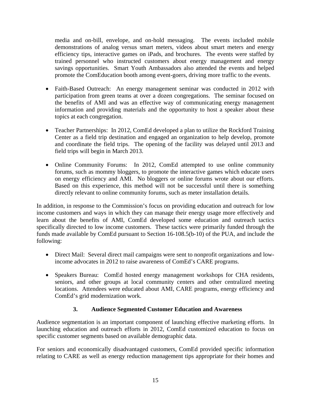media and on-bill, envelope, and on-hold messaging. The events included mobile demonstrations of analog versus smart meters, videos about smart meters and energy efficiency tips, interactive games on iPads, and brochures. The events were staffed by trained personnel who instructed customers about energy management and energy savings opportunities. Smart Youth Ambassadors also attended the events and helped promote the ComEducation booth among event-goers, driving more traffic to the events.

- Faith-Based Outreach: An energy management seminar was conducted in 2012 with participation from green teams at over a dozen congregations. The seminar focused on the benefits of AMI and was an effective way of communicating energy management information and providing materials and the opportunity to host a speaker about these topics at each congregation.
- Teacher Partnerships: In 2012, ComEd developed a plan to utilize the Rockford Training Center as a field trip destination and engaged an organization to help develop, promote and coordinate the field trips. The opening of the facility was delayed until 2013 and field trips will begin in March 2013.
- Online Community Forums: In 2012, ComEd attempted to use online community forums, such as mommy bloggers, to promote the interactive games which educate users on energy efficiency and AMI. No bloggers or online forums wrote about our efforts. Based on this experience, this method will not be successful until there is something directly relevant to online community forums, such as meter installation details.

In addition, in response to the Commission's focus on providing education and outreach for low income customers and ways in which they can manage their energy usage more effectively and learn about the benefits of AMI, ComEd developed some education and outreach tactics specifically directed to low income customers. These tactics were primarily funded through the funds made available by ComEd pursuant to Section 16-108.5(b-10) of the PUA, and include the following:

- Direct Mail: Several direct mail campaigns were sent to nonprofit organizations and lowincome advocates in 2012 to raise awareness of ComEd's CARE programs.
- Speakers Bureau: ComEd hosted energy management workshops for CHA residents, seniors, and other groups at local community centers and other centralized meeting locations. Attendees were educated about AMI, CARE programs, energy efficiency and ComEd's grid modernization work.

# **3. Audience Segmented Customer Education and Awareness**

Audience segmentation is an important component of launching effective marketing efforts. In launching education and outreach efforts in 2012, ComEd customized education to focus on specific customer segments based on available demographic data.

For seniors and economically disadvantaged customers, ComEd provided specific information relating to CARE as well as energy reduction management tips appropriate for their homes and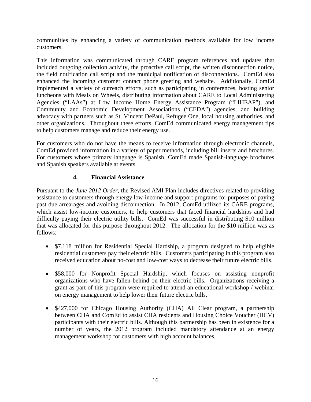communities by enhancing a variety of communication methods available for low income customers.

This information was communicated through CARE program references and updates that included outgoing collection activity, the proactive call script, the written disconnection notice, the field notification call script and the municipal notification of disconnections. ComEd also enhanced the incoming customer contact phone greeting and website. Additionally, ComEd implemented a variety of outreach efforts, such as participating in conferences, hosting senior luncheons with Meals on Wheels, distributing information about CARE to Local Administering Agencies ("LAAs") at Low Income Home Energy Assistance Program ("LIHEAP"), and Community and Economic Development Associations ("CEDA") agencies, and building advocacy with partners such as St. Vincent DePaul, Refugee One, local housing authorities, and other organizations. Throughout these efforts, ComEd communicated energy management tips to help customers manage and reduce their energy use.

For customers who do not have the means to receive information through electronic channels, ComEd provided information in a variety of paper methods, including bill inserts and brochures. For customers whose primary language is Spanish, ComEd made Spanish-language brochures and Spanish speakers available at events.

#### **4. Financial Assistance**

Pursuant to the *June 2012 Order*, the Revised AMI Plan includes directives related to providing assistance to customers through energy low-income and support programs for purposes of paying past due arrearages and avoiding disconnection. In 2012, ComEd utilized its CARE programs, which assist low-income customers, to help customers that faced financial hardships and had difficulty paying their electric utility bills. ComEd was successful in distributing \$10 million that was allocated for this purpose throughout 2012. The allocation for the \$10 million was as follows:

- \$7.118 million for Residential Special Hardship, a program designed to help eligible residential customers pay their electric bills. Customers participating in this program also received education about no-cost and low-cost ways to decrease their future electric bills.
- \$58,000 for Nonprofit Special Hardship, which focuses on assisting nonprofit organizations who have fallen behind on their electric bills. Organizations receiving a grant as part of this program were required to attend an educational workshop / webinar on energy management to help lower their future electric bills.
- \$427,000 for Chicago Housing Authority (CHA) All Clear program, a partnership between CHA and ComEd to assist CHA residents and Housing Choice Voucher (HCV) participants with their electric bills. Although this partnership has been in existence for a number of years, the 2012 program included mandatory attendance at an energy management workshop for customers with high account balances.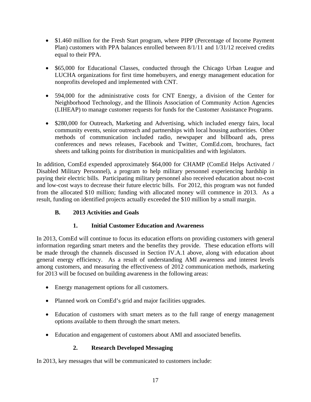- \$1.460 million for the Fresh Start program, where PIPP (Percentage of Income Payment Plan) customers with PPA balances enrolled between 8/1/11 and 1/31/12 received credits equal to their PPA.
- \$65,000 for Educational Classes, conducted through the Chicago Urban League and LUCHA organizations for first time homebuyers, and energy management education for nonprofits developed and implemented with CNT.
- 594,000 for the administrative costs for CNT Energy, a division of the Center for Neighborhood Technology, and the Illinois Association of Community Action Agencies (LIHEAP) to manage customer requests for funds for the Customer Assistance Programs.
- \$280,000 for Outreach, Marketing and Advertising, which included energy fairs, local community events, senior outreach and partnerships with local housing authorities. Other methods of communication included radio, newspaper and billboard ads, press conferences and news releases, Facebook and Twitter, ComEd.com, brochures, fact sheets and talking points for distribution in municipalities and with legislators.

In addition, ComEd expended approximately \$64,000 for CHAMP (ComEd Helps Activated / Disabled Military Personnel), a program to help military personnel experiencing hardship in paying their electric bills. Participating military personnel also received education about no-cost and low-cost ways to decrease their future electric bills. For 2012, this program was not funded from the allocated \$10 million; funding with allocated money will commence in 2013. As a result, funding on identified projects actually exceeded the \$10 million by a small margin.

# **B. 2013 Activities and Goals**

# **1. Initial Customer Education and Awareness**

In 2013, ComEd will continue to focus its education efforts on providing customers with general information regarding smart meters and the benefits they provide. These education efforts will be made through the channels discussed in Section IV.A.1 above, along with education about general energy efficiency. As a result of understanding AMI awareness and interest levels among customers, and measuring the effectiveness of 2012 communication methods, marketing for 2013 will be focused on building awareness in the following areas:

- Energy management options for all customers.
- Planned work on ComEd's grid and major facilities upgrades.
- Education of customers with smart meters as to the full range of energy management options available to them through the smart meters.
- Education and engagement of customers about AMI and associated benefits.

# **2. Research Developed Messaging**

In 2013, key messages that will be communicated to customers include: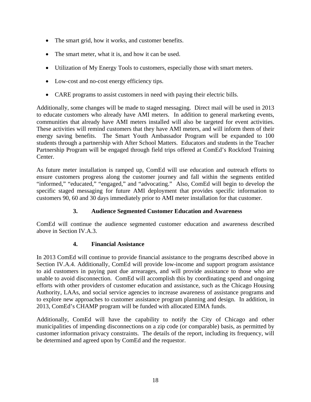- The smart grid, how it works, and customer benefits.
- The smart meter, what it is, and how it can be used.
- Utilization of My Energy Tools to customers, especially those with smart meters.
- Low-cost and no-cost energy efficiency tips.
- CARE programs to assist customers in need with paying their electric bills.

Additionally, some changes will be made to staged messaging. Direct mail will be used in 2013 to educate customers who already have AMI meters. In addition to general marketing events, communities that already have AMI meters installed will also be targeted for event activities. These activities will remind customers that they have AMI meters, and will inform them of their energy saving benefits. The Smart Youth Ambassador Program will be expanded to 100 students through a partnership with After School Matters. Educators and students in the Teacher Partnership Program will be engaged through field trips offered at ComEd's Rockford Training Center.

As future meter installation is ramped up, ComEd will use education and outreach efforts to ensure customers progress along the customer journey and fall within the segments entitled "informed," "educated," "engaged," and "advocating." Also, ComEd will begin to develop the specific staged messaging for future AMI deployment that provides specific information to customers 90, 60 and 30 days immediately prior to AMI meter installation for that customer.

# **3. Audience Segmented Customer Education and Awareness**

ComEd will continue the audience segmented customer education and awareness described above in Section IV.A.3.

# **4. Financial Assistance**

In 2013 ComEd will continue to provide financial assistance to the programs described above in Section IV.A.4. Additionally, ComEd will provide low-income and support program assistance to aid customers in paying past due arrearages, and will provide assistance to those who are unable to avoid disconnection. ComEd will accomplish this by coordinating spend and ongoing efforts with other providers of customer education and assistance, such as the Chicago Housing Authority, LAAs, and social service agencies to increase awareness of assistance programs and to explore new approaches to customer assistance program planning and design. In addition, in 2013, ComEd's CHAMP program will be funded with allocated EIMA funds.

Additionally, ComEd will have the capability to notify the City of Chicago and other municipalities of impending disconnections on a zip code (or comparable) basis, as permitted by customer information privacy constraints. The details of the report, including its frequency, will be determined and agreed upon by ComEd and the requestor.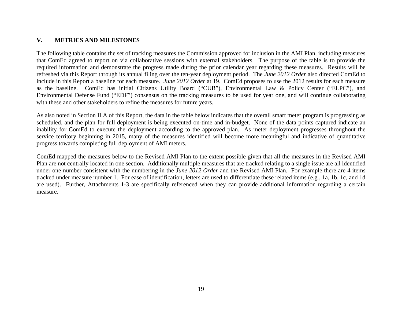#### **V.METRICS AND MILESTONES**

The following table contains the set of tracking measures the Commission approved for inclusion in the AMI Plan, including measures that ComEd agreed to report on via collaborative sessions with external stakeholders. The purpose of the table is to provide the required information and demonstrate the progress made during the prior calendar year regarding these measures. Results will be refreshed via this Report through its annual filing over the ten-year deployment period. The *June 2012 Order* also directed ComEd to include in this Report a baseline for each measure. *June 2012 Order* at 19. ComEd proposes to use the 2012 results for each measure as the baseline. ComEd has initial Citizens Utility Board ("CUB"), Environmental Law & Policy Center ("ELPC"), and Environmental Defense Fund ("EDF") consensus on the tracking measures to be used for year one, and will continue collaborating with these and other stakeholders to refine the measures for future years.

As also noted in Section II.A of this Report, the data in the table below indicates that the overall smart meter program is progressing as scheduled, and the plan for full deployment is being executed on-time and in-budget. None of the data points captured indicate an inability for ComEd to execute the deployment according to the approved plan. As meter deployment progresses throughout the service territory beginning in 2015, many of the measures identified will become more meaningful and indicative of quantitative progress towards completing full deployment of AMI meters.

ComEd mapped the measures below to the Revised AMI Plan to the extent possible given that all the measures in the Revised AMI Plan are not centrally located in one section. Additionally multiple measures that are tracked relating to a single issue are all identified under one number consistent with the numbering in the *June 2012 Order* and the Revised AMI Plan. For example there are 4 items tracked under measure number 1. For ease of identification, letters are used to differentiate these related items (e.g., 1a, 1b, 1c, and 1d are used). Further, Attachments 1-3 are specifically referenced when they can provide additional information regarding a certain measure.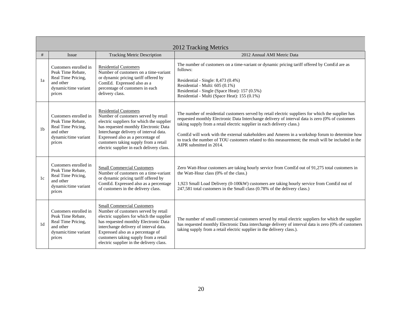|                | 2012 Tracking Metrics                                                                                           |                                                                                                                                                                                                                                                                                                                                     |                                                                                                                                                                                                                                                                                                                                                                                                                                                                                                                       |  |  |  |  |  |
|----------------|-----------------------------------------------------------------------------------------------------------------|-------------------------------------------------------------------------------------------------------------------------------------------------------------------------------------------------------------------------------------------------------------------------------------------------------------------------------------|-----------------------------------------------------------------------------------------------------------------------------------------------------------------------------------------------------------------------------------------------------------------------------------------------------------------------------------------------------------------------------------------------------------------------------------------------------------------------------------------------------------------------|--|--|--|--|--|
| #              | Issue                                                                                                           | <b>Tracking Metric Description</b>                                                                                                                                                                                                                                                                                                  | 2012 Annual AMI Metric Data                                                                                                                                                                                                                                                                                                                                                                                                                                                                                           |  |  |  |  |  |
| 1a             | Customers enrolled in<br>Peak Time Rebate,<br>Real Time Pricing,<br>and other<br>dynamic/time variant<br>prices | <b>Residential Customers</b><br>Number of customers on a time-variant<br>or dynamic pricing tariff offered by<br>ComEd. Expressed also as a<br>percentage of customers in each<br>delivery class.                                                                                                                                   | The number of customers on a time-variant or dynamic pricing tariff offered by ComEd are as<br>follows:<br>Residential - Single: 8,473 (0.4%)<br>Residential - Multi: 605 (0.1%)<br>Residential - Single (Space Heat): 157 (0.5%)<br>Residential - Multi (Space Heat): 155 (0.1%)                                                                                                                                                                                                                                     |  |  |  |  |  |
| 1 <sub>b</sub> | Customers enrolled in<br>Peak Time Rebate,<br>Real Time Pricing,<br>and other<br>dynamic/time variant<br>prices | <b>Residential Customers</b><br>Number of customers served by retail<br>electric suppliers for which the supplier<br>has requested monthly Electronic Data<br>Interchange delivery of interval data.<br>Expressed also as a percentage of<br>customers taking supply from a retail<br>electric supplier in each delivery class.     | The number of residential customers served by retail electric suppliers for which the supplier has<br>requested monthly Electronic Data Interchange delivery of interval data is zero (0% of customers<br>taking supply from a retail electric supplier in each delivery class.)<br>ComEd will work with the external stakeholders and Ameren in a workshop forum to determine how<br>to track the number of TOU customers related to this measurement; the result will be included in the<br>AIPR submitted in 2014. |  |  |  |  |  |
| 1c             | Customers enrolled in<br>Peak Time Rebate,<br>Real Time Pricing,<br>and other<br>dynamic/time variant<br>prices | <b>Small Commercial Customers</b><br>Number of customers on a time-variant<br>or dynamic pricing tariff offered by<br>ComEd. Expressed also as a percentage<br>of customers in the delivery class.                                                                                                                                  | Zero Watt-Hour customers are taking hourly service from ComEd out of 91,275 total customers in<br>the Watt-Hour class (0% of the class.)<br>1,923 Small Load Delivery (0-100kW) customers are taking hourly service from ComEd out of<br>247,581 total customers in the Small class (0.78% of the delivery class.)                                                                                                                                                                                                    |  |  |  |  |  |
| 1 <sub>d</sub> | Customers enrolled in<br>Peak Time Rebate,<br>Real Time Pricing,<br>and other<br>dynamic/time variant<br>prices | <b>Small Commercial Customers</b><br>Number of customers served by retail<br>electric suppliers for which the supplier<br>has requested monthly Electronic Data<br>interchange delivery of interval data.<br>Expressed also as a percentage of<br>customers taking supply from a retail<br>electric supplier in the delivery class. | The number of small commercial customers served by retail electric suppliers for which the supplier<br>has requested monthly Electronic Data interchange delivery of interval data is zero (0% of customers<br>taking supply from a retail electric supplier in the delivery class.).                                                                                                                                                                                                                                 |  |  |  |  |  |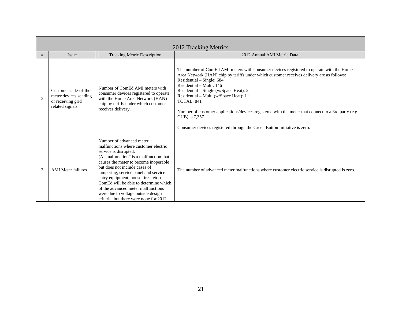|                | 2012 Tracking Metrics                                                                  |                                                                                                                                                                                                                                                                                                                                                                                                                                                              |                                                                                                                                                                                                                                                                                                                                                                                                                                                                                                                                                       |  |  |  |  |  |
|----------------|----------------------------------------------------------------------------------------|--------------------------------------------------------------------------------------------------------------------------------------------------------------------------------------------------------------------------------------------------------------------------------------------------------------------------------------------------------------------------------------------------------------------------------------------------------------|-------------------------------------------------------------------------------------------------------------------------------------------------------------------------------------------------------------------------------------------------------------------------------------------------------------------------------------------------------------------------------------------------------------------------------------------------------------------------------------------------------------------------------------------------------|--|--|--|--|--|
| #              | Issue                                                                                  | <b>Tracking Metric Description</b>                                                                                                                                                                                                                                                                                                                                                                                                                           | 2012 Annual AMI Metric Data                                                                                                                                                                                                                                                                                                                                                                                                                                                                                                                           |  |  |  |  |  |
| $\overline{2}$ | Customer-side-of-the-<br>meter devices sending<br>or receiving grid<br>related signals | Number of ComEd AMI meters with<br>consumer devices registered to operate<br>with the Home Area Network (HAN)<br>chip by tariffs under which customer<br>receives delivery.                                                                                                                                                                                                                                                                                  | The number of ComEd AMI meters with consumer devices registered to operate with the Home<br>Area Network (HAN) chip by tariffs under which customer receives delivery are as follows:<br>Residential – Single: 684<br>Residential - Multi: 146<br>Residential - Single (w/Space Heat): 2<br>Residential - Multi (w/Space Heat): 11<br>TOTAL: 841<br>Number of customer applications/devices registered with the meter that connect to a 3rd party (e.g.<br>CUB) is 7,357.<br>Consumer devices registered through the Green Button Initiative is zero. |  |  |  |  |  |
| 3              | <b>AMI</b> Meter failures                                                              | Number of advanced meter<br>malfunctions where customer electric<br>service is disrupted.<br>(A "malfunction" is a malfunction that<br>causes the meter to become inoperable<br>but does not include cases of<br>tampering, service panel and service<br>entry equipment, house fires, etc.)<br>ComEd will be able to determine which<br>of the advanced meter malfunctions<br>were due to voltage outside design<br>criteria, but there were none for 2012. | The number of advanced meter malfunctions where customer electric service is disrupted is zero.                                                                                                                                                                                                                                                                                                                                                                                                                                                       |  |  |  |  |  |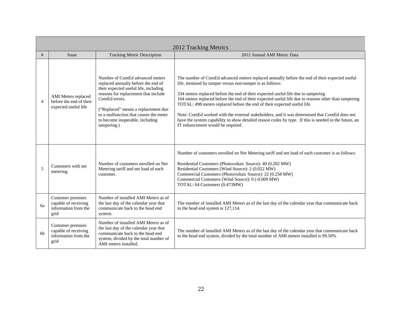|                          | 2012 Tracking Metrics                                                     |                                                                                                                                                                                                                                                                                                             |                                                                                                                                                                                                                                                                                                                                                                                                                                                                                                                                                                                                                                                                                  |  |  |  |  |  |
|--------------------------|---------------------------------------------------------------------------|-------------------------------------------------------------------------------------------------------------------------------------------------------------------------------------------------------------------------------------------------------------------------------------------------------------|----------------------------------------------------------------------------------------------------------------------------------------------------------------------------------------------------------------------------------------------------------------------------------------------------------------------------------------------------------------------------------------------------------------------------------------------------------------------------------------------------------------------------------------------------------------------------------------------------------------------------------------------------------------------------------|--|--|--|--|--|
| #                        | Issue                                                                     | <b>Tracking Metric Description</b>                                                                                                                                                                                                                                                                          | 2012 Annual AMI Metric Data                                                                                                                                                                                                                                                                                                                                                                                                                                                                                                                                                                                                                                                      |  |  |  |  |  |
| $\overline{\mathcal{A}}$ | AMI Meters replaced<br>before the end of their<br>expected useful life    | Number of ComEd advanced meters<br>replaced annually before the end of<br>their expected useful life, including<br>reasons for replacement that include<br>ComEd errors.<br>("Replaced" means a replacement due<br>to a malfunction that causes the meter<br>to become inoperable, including<br>tampering.) | The number of ComEd advanced meters replaced annually before the end of their expected useful<br>life, itemized by tamper versus non-tamper is as follows:<br>334 meters replaced before the end of their expected useful life due to tampering<br>164 meters replaced before the end of their expected useful life due to reasons other than tampering<br>TOTAL: 498 meters replaced before the end of their expected useful life<br>Note: ComEd worked with the external stakeholders, and it was determined that ComEd does not<br>have the system capability to show detailed reason codes by type. If this is needed in the future, an<br>IT enhancement would be required. |  |  |  |  |  |
| 5                        | Customers with net<br>metering                                            | Number of customers enrolled on Net<br>Metering tariff and net load of each<br>customer.                                                                                                                                                                                                                    | Number of customers enrolled on Net Metering tariff and net load of each customer is as follows:<br>Residential Customers (Photovoltaic Source): 40 (0.202 MW)<br>Residential Customers (Wind Source): 2 (0.022 MW)<br>Commercial Customers (Photovoltaic Source): 22 (0.258 MW)<br>Commercial Customers (Wind Source): 0 (-0.009 MW)<br>TOTAL: 64 Customers (0.473MW)                                                                                                                                                                                                                                                                                                           |  |  |  |  |  |
| <b>ба</b>                | Customer premises<br>capable of receiving<br>information from the<br>grid | Number of installed AMI Meters as of<br>the last day of the calendar year that<br>communicate back to the head end<br>system.                                                                                                                                                                               | The number of installed AMI Meters as of the last day of the calendar year that communicate back<br>to the head end system is 127,114.                                                                                                                                                                                                                                                                                                                                                                                                                                                                                                                                           |  |  |  |  |  |
| 6 <sub>b</sub>           | Customer premises<br>capable of receiving<br>information from the<br>grid | Number of installed AMI Meters as of<br>the last day of the calendar year that<br>communicate back to the head end<br>system, divided by the total number of<br>AMI meters installed.                                                                                                                       | The number of installed AMI Meters as of the last day of the calendar year that communicate back<br>to the head end system, divided by the total number of AMI meters installed is 99.50%                                                                                                                                                                                                                                                                                                                                                                                                                                                                                        |  |  |  |  |  |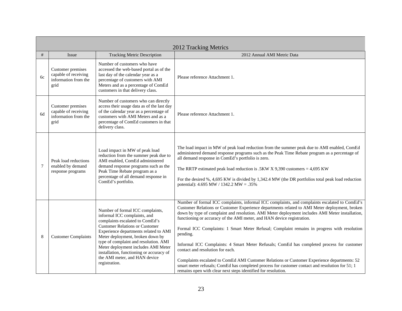|        | 2012 Tracking Metrics                                                     |                                                                                                                                                                                                                                                                                                                                                                                                         |                                                                                                                                                                                                                                                                                                                                                                                                                                                                                                                                                                                                                                                                                                                                                                                                                                                                                            |  |
|--------|---------------------------------------------------------------------------|---------------------------------------------------------------------------------------------------------------------------------------------------------------------------------------------------------------------------------------------------------------------------------------------------------------------------------------------------------------------------------------------------------|--------------------------------------------------------------------------------------------------------------------------------------------------------------------------------------------------------------------------------------------------------------------------------------------------------------------------------------------------------------------------------------------------------------------------------------------------------------------------------------------------------------------------------------------------------------------------------------------------------------------------------------------------------------------------------------------------------------------------------------------------------------------------------------------------------------------------------------------------------------------------------------------|--|
| $\#$   | Issue                                                                     | <b>Tracking Metric Description</b>                                                                                                                                                                                                                                                                                                                                                                      | 2012 Annual AMI Metric Data                                                                                                                                                                                                                                                                                                                                                                                                                                                                                                                                                                                                                                                                                                                                                                                                                                                                |  |
| 6c     | Customer premises<br>capable of receiving<br>information from the<br>grid | Number of customers who have<br>accessed the web-based portal as of the<br>last day of the calendar year as a<br>percentage of customers with AMI<br>Meters and as a percentage of ComEd<br>customers in that delivery class.                                                                                                                                                                           | Please reference Attachment 1.                                                                                                                                                                                                                                                                                                                                                                                                                                                                                                                                                                                                                                                                                                                                                                                                                                                             |  |
| 6d     | Customer premises<br>capable of receiving<br>information from the<br>grid | Number of customers who can directly<br>access their usage data as of the last day<br>of the calendar year as a percentage of<br>customers with AMI Meters and as a<br>percentage of ComEd customers in that<br>delivery class.                                                                                                                                                                         | Please reference Attachment 1.                                                                                                                                                                                                                                                                                                                                                                                                                                                                                                                                                                                                                                                                                                                                                                                                                                                             |  |
| $\tau$ | Peak load reductions<br>enabled by demand<br>response programs            | Load impact in MW of peak load<br>reduction from the summer peak due to<br>AMI enabled, ComEd administered<br>demand response programs such as the<br>Peak Time Rebate program as a<br>percentage of all demand response in<br>ComEd's portfolio.                                                                                                                                                       | The load impact in MW of peak load reduction from the summer peak due to AMI enabled, ComEd<br>administered demand response programs such as the Peak Time Rebate program as a percentage of<br>all demand response in ComEd's portfolio is zero.<br>The RRTP estimated peak load reduction is .5KW X 9,390 customers = $4,695$ KW<br>For the desired %, 4,695 KW is divided by 1,342.4 MW (the DR portfolios total peak load reduction<br>potential): 4.695 MW / 1342.2 MW = .35%                                                                                                                                                                                                                                                                                                                                                                                                         |  |
| 8      | <b>Customer Complaints</b>                                                | Number of formal ICC complaints,<br>informal ICC complaints, and<br>complaints escalated to ComEd's<br><b>Customer Relations or Customer</b><br>Experience departments related to AMI<br>Meter deployment, broken down by<br>type of complaint and resolution. AMI<br>Meter deployment includes AMI Meter<br>installation, functioning or accuracy of<br>the AMI meter, and HAN device<br>registration. | Number of formal ICC complaints, informal ICC complaints, and complaints escalated to ComEd's<br>Customer Relations or Customer Experience departments related to AMI Meter deployment, broken<br>down by type of complaint and resolution. AMI Meter deployment includes AMI Meter installation,<br>functioning or accuracy of the AMI meter, and HAN device registration.<br>Formal ICC Complaints: 1 Smart Meter Refusal; Complaint remains in progress with resolution<br>pending.<br>Informal ICC Complaints: 4 Smart Meter Refusals; ComEd has completed process for customer<br>contact and resolution for each.<br>Complaints escalated to ComEd AMI Customer Relations or Customer Experience departments: 52<br>smart meter refusals; ComEd has completed process for customer contact and resolution for 51; 1<br>remains open with clear next steps identified for resolution. |  |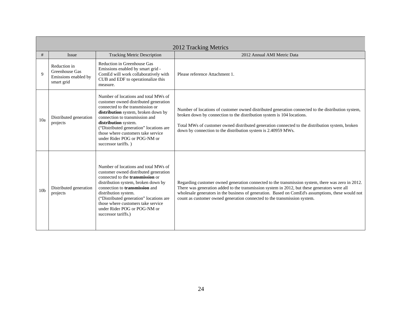|                 | 2012 Tracking Metrics                                                |                                                                                                                                                                                                                                                                                                                                                                          |                                                                                                                                                                                                                                                                                                                                                                                    |  |
|-----------------|----------------------------------------------------------------------|--------------------------------------------------------------------------------------------------------------------------------------------------------------------------------------------------------------------------------------------------------------------------------------------------------------------------------------------------------------------------|------------------------------------------------------------------------------------------------------------------------------------------------------------------------------------------------------------------------------------------------------------------------------------------------------------------------------------------------------------------------------------|--|
| #               | Issue                                                                | <b>Tracking Metric Description</b>                                                                                                                                                                                                                                                                                                                                       | 2012 Annual AMI Metric Data                                                                                                                                                                                                                                                                                                                                                        |  |
| 9               | Reduction in<br>Greenhouse Gas<br>Emissions enabled by<br>smart grid | Reduction in Greenhouse Gas<br>Emissions enabled by smart grid -<br>ComEd will work collaboratively with<br>CUB and EDF to operationalize this<br>measure.                                                                                                                                                                                                               | Please reference Attachment 1.                                                                                                                                                                                                                                                                                                                                                     |  |
| 10a             | Distributed generation<br>projects                                   | Number of locations and total MWs of<br>customer owned distributed generation<br>connected to the transmission or<br>distribution system, broken down by<br>connection to transmission and<br>distribution system.<br>("Distributed generation" locations are<br>those where customers take service<br>under Rider POG or POG-NM or<br>successor tariffs.)               | Number of locations of customer owned distributed generation connected to the distribution system,<br>broken down by connection to the distribution system is 104 locations.<br>Total MWs of customer owned distributed generation connected to the distribution system, broken<br>down by connection to the distribution system is 2.40959 MWs.                                   |  |
| 10 <sub>b</sub> | Distributed generation<br>projects                                   | Number of locations and total MWs of<br>customer owned distributed generation<br>connected to the <b>transmission</b> or<br>distribution system, broken down by<br>connection to <b>transmission</b> and<br>distribution system.<br>("Distributed generation" locations are<br>those where customers take service<br>under Rider POG or POG-NM or<br>successor tariffs.) | Regarding customer owned generation connected to the transmission system, there was zero in 2012.<br>There was generation added to the transmission system in 2012, but these generators were all<br>wholesale generators in the business of generation. Based on ComEd's assumptions, these would not<br>count as customer owned generation connected to the transmission system. |  |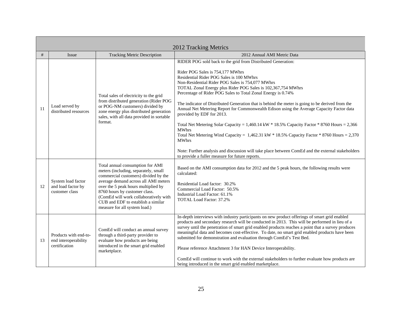|    | 2012 Tracking Metrics                                          |                                                                                                                                                                                                                                                                                                                                                  |                                                                                                                                                                                                                                                                                                                                                                                                                                                                                                                                                                                                                                                                                                                                                                                                                                                                                                                                                                          |  |
|----|----------------------------------------------------------------|--------------------------------------------------------------------------------------------------------------------------------------------------------------------------------------------------------------------------------------------------------------------------------------------------------------------------------------------------|--------------------------------------------------------------------------------------------------------------------------------------------------------------------------------------------------------------------------------------------------------------------------------------------------------------------------------------------------------------------------------------------------------------------------------------------------------------------------------------------------------------------------------------------------------------------------------------------------------------------------------------------------------------------------------------------------------------------------------------------------------------------------------------------------------------------------------------------------------------------------------------------------------------------------------------------------------------------------|--|
| #  | Issue                                                          | <b>Tracking Metric Description</b>                                                                                                                                                                                                                                                                                                               | 2012 Annual AMI Metric Data                                                                                                                                                                                                                                                                                                                                                                                                                                                                                                                                                                                                                                                                                                                                                                                                                                                                                                                                              |  |
| 11 | Load served by<br>distributed resources                        | Total sales of electricity to the grid<br>from distributed generation (Rider POG<br>or POG-NM customers) divided by<br>zone energy plus distributed generation<br>sales, with all data provided in sortable<br>format.                                                                                                                           | RIDER POG sold back to the grid from Distributed Generation:<br>Rider POG Sales is 754,177 MWhrs<br>Residential Rider POG Sales is 100 MWhrs<br>Non-Residential Rider POG Sales is 754,077 MWhrs<br>TOTAL Zonal Energy plus Rider POG Sales is 102,367,754 MWhrs<br>Percentage of Rider POG Sales to Total Zonal Energy is 0.74%<br>The indicator of Distributed Generation that is behind the meter is going to be derived from the<br>Annual Net Metering Report for Commonwealth Edison using the Average Capacity Factor data<br>provided by EDF for 2013.<br>Total Net Metering Solar Capacity = $1,460.14 \text{ kW} * 18.5\%$ Capacity Factor $* 8760$ Hours = 2,366<br><b>MWhrs</b><br>Total Net Metering Wind Capacity = $1,462.31$ kW $*$ 18.5% Capacity Factor $*$ 8760 Hours = 2,370<br><b>MWhrs</b><br>Note: Further analysis and discussion will take place between ComEd and the external stakeholders<br>to provide a fuller measure for future reports. |  |
| 12 | System load factor<br>and load factor by<br>customer class     | Total annual consumption for AMI<br>meters (including, separately, small<br>commercial customers) divided by the<br>average demand across all AMI meters<br>over the 5 peak hours multiplied by<br>8760 hours by customer class.<br>(ComEd will work collaboratively with<br>CUB and EDF to establish a similar<br>measure for all system load.) | Based on the AMI consumption data for 2012 and the 5 peak hours, the following results were<br>calculated:<br>Residential Load factor: 30.2%<br>Commercial Load Factor: 50.5%<br>Industrial Load Factor: 61.1%<br><b>TOTAL Load Factor: 37.2%</b>                                                                                                                                                                                                                                                                                                                                                                                                                                                                                                                                                                                                                                                                                                                        |  |
| 13 | Products with end-to-<br>end interoperability<br>certification | ComEd will conduct an annual survey<br>through a third-party provider to<br>evaluate how products are being<br>introduced in the smart grid enabled<br>marketplace.                                                                                                                                                                              | In-depth interviews with industry participants on new product offerings of smart grid enabled<br>products and secondary research will be conducted in 2013. This will be performed in lieu of a<br>survey until the penetration of smart grid enabled products reaches a point that a survey produces<br>meaningful data and becomes cost-effective. To date, no smart grid enabled products have been<br>submitted for demonstration and evaluation through ComEd's Test Bed.<br>Please reference Attachment 3 for HAN Device Interoperability.<br>ComEd will continue to work with the external stakeholders to further evaluate how products are<br>being introduced in the smart grid enabled marketplace.                                                                                                                                                                                                                                                           |  |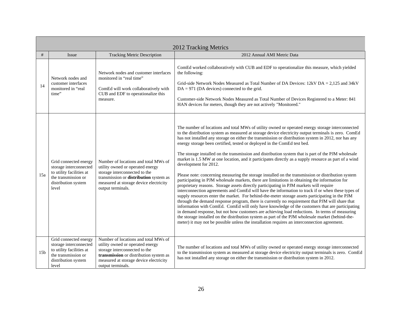|                 | 2012 Tracking Metrics                                                                                                              |                                                                                                                                                                                                                    |                                                                                                                                                                                                                                                                                                                                                                                                                                                                                                                                                                                                                                                                                                                                                                                                                                                                                                                                                                                                                                                                                                                                                                                                                                                                                                                                                                                                                                                                                                                                                                                                                                                             |  |
|-----------------|------------------------------------------------------------------------------------------------------------------------------------|--------------------------------------------------------------------------------------------------------------------------------------------------------------------------------------------------------------------|-------------------------------------------------------------------------------------------------------------------------------------------------------------------------------------------------------------------------------------------------------------------------------------------------------------------------------------------------------------------------------------------------------------------------------------------------------------------------------------------------------------------------------------------------------------------------------------------------------------------------------------------------------------------------------------------------------------------------------------------------------------------------------------------------------------------------------------------------------------------------------------------------------------------------------------------------------------------------------------------------------------------------------------------------------------------------------------------------------------------------------------------------------------------------------------------------------------------------------------------------------------------------------------------------------------------------------------------------------------------------------------------------------------------------------------------------------------------------------------------------------------------------------------------------------------------------------------------------------------------------------------------------------------|--|
| #               | Issue                                                                                                                              | <b>Tracking Metric Description</b>                                                                                                                                                                                 | 2012 Annual AMI Metric Data                                                                                                                                                                                                                                                                                                                                                                                                                                                                                                                                                                                                                                                                                                                                                                                                                                                                                                                                                                                                                                                                                                                                                                                                                                                                                                                                                                                                                                                                                                                                                                                                                                 |  |
| 14              | Network nodes and<br>customer interfaces<br>monitored in "real<br>time"                                                            | Network nodes and customer interfaces<br>monitored in "real time"<br>ComEd will work collaboratively with<br>CUB and EDF to operationalize this<br>measure.                                                        | ComEd worked collaboratively with CUB and EDF to operationalize this measure, which yielded<br>the following:<br>Grid-side Network Nodes Measured as Total Number of DA Devices: $12kVDA = 2,125$ and $34kV$<br>$DA = 971$ (DA devices) connected to the grid.<br>Customer-side Network Nodes Measured as Total Number of Devices Registered to a Meter: 841<br>HAN devices for meters, though they are not actively "Monitored."                                                                                                                                                                                                                                                                                                                                                                                                                                                                                                                                                                                                                                                                                                                                                                                                                                                                                                                                                                                                                                                                                                                                                                                                                           |  |
| 15a             | Grid connected energy<br>storage interconnected<br>to utility facilities at<br>the transmission or<br>distribution system<br>level | Number of locations and total MWs of<br>utility owned or operated energy<br>storage interconnected to the<br>transmission or distribution system as<br>measured at storage device electricity<br>output terminals. | The number of locations and total MWs of utility owned or operated energy storage interconnected<br>to the distribution system as measured at storage device electricity output terminals is zero. ComEd<br>has not installed any storage on either the transmission or distribution system in 2012, nor has any<br>energy storage been certified, tested or deployed in the ComEd test bed.<br>The storage installed on the transmission and distribution system that is part of the PJM wholesale<br>market is 1.5 MW at one location, and it participates directly as a supply resource as part of a wind<br>development for 2012.<br>Please note: concerning measuring the storage installed on the transmission or distribution system<br>participating in PJM wholesale markets, there are limitations in obtaining the information for<br>proprietary reasons. Storage assets directly participating in PJM markets will require<br>interconnection agreements and ComEd will have the information to track if or when these types of<br>supply resources enter the market. For behind-the-meter storage assets participating in the PJM<br>through the demand response program, there is currently no requirement that PJM will share that<br>information with ComEd. ComEd will only have knowledge of the customers that are participating<br>in demand response, but not how customers are achieving load reductions. In terms of measuring<br>the storage installed on the distribution system as part of the PJM wholesale market (behind-the-<br>meter) it may not be possible unless the installation requires an interconnection agreement. |  |
| 15 <sub>b</sub> | Grid connected energy<br>storage interconnected<br>to utility facilities at<br>the transmission or<br>distribution system<br>level | Number of locations and total MWs of<br>utility owned or operated energy<br>storage interconnected to the<br>transmission or distribution system as<br>measured at storage device electricity<br>output terminals. | The number of locations and total MWs of utility owned or operated energy storage interconnected<br>to the transmission system as measured at storage device electricity output terminals is zero. ComEd<br>has not installed any storage on either the transmission or distribution system in 2012.                                                                                                                                                                                                                                                                                                                                                                                                                                                                                                                                                                                                                                                                                                                                                                                                                                                                                                                                                                                                                                                                                                                                                                                                                                                                                                                                                        |  |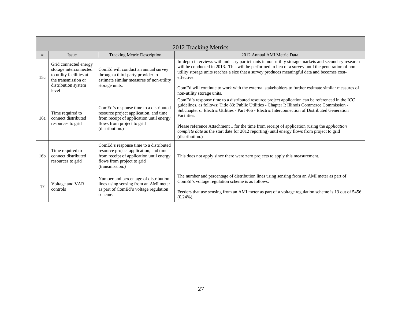|                 | 2012 Tracking Metrics                                                                                                              |                                                                                                                                                                               |                                                                                                                                                                                                                                                                                                                                                                                                                                                                                                                                                 |  |
|-----------------|------------------------------------------------------------------------------------------------------------------------------------|-------------------------------------------------------------------------------------------------------------------------------------------------------------------------------|-------------------------------------------------------------------------------------------------------------------------------------------------------------------------------------------------------------------------------------------------------------------------------------------------------------------------------------------------------------------------------------------------------------------------------------------------------------------------------------------------------------------------------------------------|--|
| #               | Issue                                                                                                                              | <b>Tracking Metric Description</b>                                                                                                                                            | 2012 Annual AMI Metric Data                                                                                                                                                                                                                                                                                                                                                                                                                                                                                                                     |  |
| 15c             | Grid connected energy<br>storage interconnected<br>to utility facilities at<br>the transmission or<br>distribution system<br>level | ComEd will conduct an annual survey<br>through a third-party provider to<br>estimate similar measures of non-utility<br>storage units.                                        | In-depth interviews with industry participants in non-utility storage markets and secondary research<br>will be conducted in 2013. This will be performed in lieu of a survey until the penetration of non-<br>utility storage units reaches a size that a survey produces meaningful data and becomes cost-<br>effective.<br>ComEd will continue to work with the external stakeholders to further estimate similar measures of<br>non-utility storage units.                                                                                  |  |
| 16a             | Time required to<br>connect distributed<br>resources to grid                                                                       | ComEd's response time to a distributed<br>resource project application, and time<br>from receipt of application until energy<br>flows from project to grid<br>(distribution.) | ComEd's response time to a distributed resource project application can be referenced in the ICC<br>guidelines, as follows: Title 83: Public Utilities - Chapter I: Illinois Commerce Commission -<br>Subchapter c: Electric Utilities - Part 466 - Electric Interconnection of Distributed Generation<br>Facilities.<br>Please reference Attachment 1 for the time from receipt of application (using the <i>application</i><br>complete date as the start date for 2012 reporting) until energy flows from project to grid<br>(distribution.) |  |
| 16 <sub>b</sub> | Time required to<br>connect distributed<br>resources to grid                                                                       | ComEd's response time to a distributed<br>resource project application, and time<br>from receipt of application until energy<br>flows from project to grid<br>(transmission.) | This does not apply since there were zero projects to apply this measurement.                                                                                                                                                                                                                                                                                                                                                                                                                                                                   |  |
| 17              | Voltage and VAR<br>controls                                                                                                        | Number and percentage of distribution<br>lines using sensing from an AMI meter<br>as part of ComEd's voltage regulation<br>scheme.                                            | The number and percentage of distribution lines using sensing from an AMI meter as part of<br>ComEd's voltage regulation scheme is as follows:<br>Feeders that use sensing from an AMI meter as part of a voltage regulation scheme is 13 out of 5456<br>$(0.24\%)$ .                                                                                                                                                                                                                                                                           |  |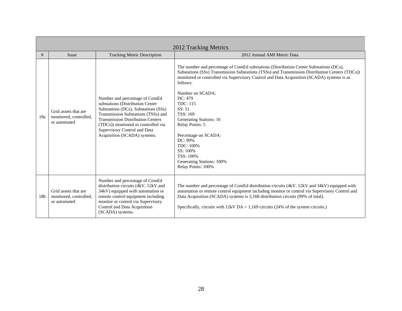|     | 2012 Tracking Metrics                                          |                                                                                                                                                                                                                                                                                                      |                                                                                                                                                                                                                                                                                                                                                                                                                                                                                                                                                       |  |
|-----|----------------------------------------------------------------|------------------------------------------------------------------------------------------------------------------------------------------------------------------------------------------------------------------------------------------------------------------------------------------------------|-------------------------------------------------------------------------------------------------------------------------------------------------------------------------------------------------------------------------------------------------------------------------------------------------------------------------------------------------------------------------------------------------------------------------------------------------------------------------------------------------------------------------------------------------------|--|
| #   | Issue                                                          | <b>Tracking Metric Description</b>                                                                                                                                                                                                                                                                   | 2012 Annual AMI Metric Data                                                                                                                                                                                                                                                                                                                                                                                                                                                                                                                           |  |
| 18a | Grid assets that are<br>monitored, controlled,<br>or automated | Number and percentage of ComEd<br>substations (Distribution Center<br>Substations (DCs), Substations (SSs)<br>Transmission Substations (TSSs) and<br><b>Transmission Distribution Centers</b><br>(TDCs)) monitored or controlled via<br>Supervisory Control and Data<br>Acquisition (SCADA) systems. | The number and percentage of ComEd substations (Distribution Center Substations (DCs),<br>Substations (SSs) Transmission Substations (TSSs) and Transmission Distribution Centers (TDCs))<br>monitored or controlled via Supervisory Control and Data Acquisition (SCADA) systems is as<br>follows:<br>Number on SCADA:<br>DC: 479<br><b>TDC: 115</b><br>SS: 51<br>TSS: 169<br>Generating Stations: 16<br>Relay Points: 5<br>Percentage on SCADA:<br>DC: 99%<br>TDC: 100%<br>SS: 100%<br>TSS: 100%<br>Generating Stations: 100%<br>Relay Points: 100% |  |
| 18b | Grid assets that are<br>monitored, controlled,<br>or automated | Number and percentage of ComEd<br>distribution circuits (4kV, 12kV and<br>34kV) equipped with automation or<br>remote control equipment including<br>monitor or control via Supervisory<br>Control and Data Acquisition<br>(SCADA) systems.                                                          | The number and percentage of ComEd distribution circuits (4kV, 12kV and 34kV) equipped with<br>automation or remote control equipment including monitor or control via Supervisory Control and<br>Data Acquisition (SCADA) systems is 5,168 distribution circuits (99% of total).<br>Specifically, circuits with $12kVDA = 1,169$ circuits (24% of the system circuits.)                                                                                                                                                                              |  |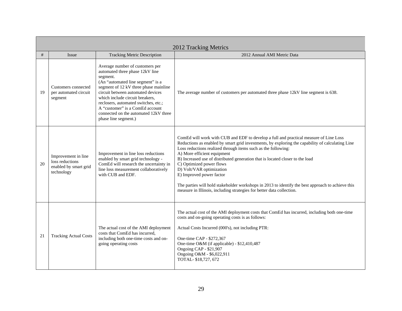|    | 2012 Tracking Metrics                                                         |                                                                                                                                                                                                                                                                                                                                                                                  |                                                                                                                                                                                                                                                                                                                                                                                                                                                                                                                                                                                                                                              |  |
|----|-------------------------------------------------------------------------------|----------------------------------------------------------------------------------------------------------------------------------------------------------------------------------------------------------------------------------------------------------------------------------------------------------------------------------------------------------------------------------|----------------------------------------------------------------------------------------------------------------------------------------------------------------------------------------------------------------------------------------------------------------------------------------------------------------------------------------------------------------------------------------------------------------------------------------------------------------------------------------------------------------------------------------------------------------------------------------------------------------------------------------------|--|
| #  | Issue                                                                         | <b>Tracking Metric Description</b>                                                                                                                                                                                                                                                                                                                                               | 2012 Annual AMI Metric Data                                                                                                                                                                                                                                                                                                                                                                                                                                                                                                                                                                                                                  |  |
| 19 | Customers connected<br>per automated circuit<br>segment                       | Average number of customers per<br>automated three phase 12kV line<br>segment.<br>(An "automated line segment" is a<br>segment of 12 kV three phase mainline<br>circuit between automated devices<br>which include circuit breakers.<br>reclosers, automated switches, etc.;<br>A "customer" is a ComEd account<br>connected on the automated 12kV three<br>phase line segment.) | The average number of customers per automated three phase 12kV line segment is 638.                                                                                                                                                                                                                                                                                                                                                                                                                                                                                                                                                          |  |
| 20 | Improvement in line<br>loss reductions<br>enabled by smart grid<br>technology | Improvement in line loss reductions<br>enabled by smart grid technology -<br>ComEd will research the uncertainty in<br>line loss measurement collaboratively<br>with CUB and EDF.                                                                                                                                                                                                | ComEd will work with CUB and EDF to develop a full and practical measure of Line Loss<br>Reductions as enabled by smart grid investments, by exploring the capability of calculating Line<br>Loss reductions realized through items such as the following:<br>A) More efficient equipment<br>B) Increased use of distributed generation that is located closer to the load<br>C) Optimized power flows<br>D) Volt/VAR optimization<br>E) Improved power factor<br>The parties will hold stakeholder workshops in 2013 to identify the best approach to achieve this<br>measure in Illinois, including strategies for better data collection. |  |
| 21 | <b>Tracking Actual Costs</b>                                                  | The actual cost of the AMI deployment<br>costs that ComEd has incurred,<br>including both one-time costs and on-<br>going operating costs                                                                                                                                                                                                                                        | The actual cost of the AMI deployment costs that ComEd has incurred, including both one-time<br>costs and on-going operating costs is as follows:<br>Actual Costs Incurred (000's), not including PTR:<br>One-time CAP - \$272,367<br>One-time O&M (if applicable) - \$12,410,487<br>Ongoing CAP - \$21,907<br>Ongoing O&M - \$6,022,911<br>TOTAL-\$18,727, 672                                                                                                                                                                                                                                                                              |  |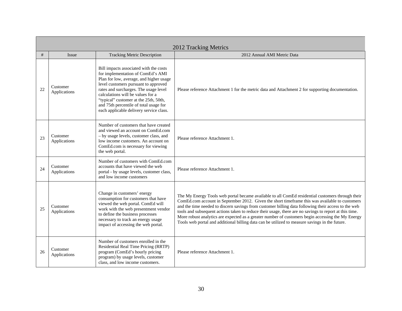|    | 2012 Tracking Metrics    |                                                                                                                                                                                                                                                                                                                                                                            |                                                                                                                                                                                                                                                                                                                                                                                                                                                                                                                                                                                                                            |  |
|----|--------------------------|----------------------------------------------------------------------------------------------------------------------------------------------------------------------------------------------------------------------------------------------------------------------------------------------------------------------------------------------------------------------------|----------------------------------------------------------------------------------------------------------------------------------------------------------------------------------------------------------------------------------------------------------------------------------------------------------------------------------------------------------------------------------------------------------------------------------------------------------------------------------------------------------------------------------------------------------------------------------------------------------------------------|--|
| #  | Issue                    | <b>Tracking Metric Description</b>                                                                                                                                                                                                                                                                                                                                         | 2012 Annual AMI Metric Data                                                                                                                                                                                                                                                                                                                                                                                                                                                                                                                                                                                                |  |
| 22 | Customer<br>Applications | Bill impacts associated with the costs<br>for implementation of ComEd's AMI<br>Plan for low, average, and higher usage<br>level customers pursuant to approved<br>rates and surcharges. The usage level<br>calculations will be values for a<br>"typical" customer at the 25th, 50th,<br>and 75th percentile of total usage for<br>each applicable delivery service class. | Please reference Attachment 1 for the metric data and Attachment 2 for supporting documentation.                                                                                                                                                                                                                                                                                                                                                                                                                                                                                                                           |  |
| 23 | Customer<br>Applications | Number of customers that have created<br>and viewed an account on ComEd.com<br>- by usage levels, customer class, and<br>low income customers. An account on<br>ComEd.com is necessary for viewing<br>the web portal.                                                                                                                                                      | Please reference Attachment 1.                                                                                                                                                                                                                                                                                                                                                                                                                                                                                                                                                                                             |  |
| 24 | Customer<br>Applications | Number of customers with ComEd.com<br>accounts that have viewed the web<br>portal - by usage levels, customer class,<br>and low income customers                                                                                                                                                                                                                           | Please reference Attachment 1.                                                                                                                                                                                                                                                                                                                                                                                                                                                                                                                                                                                             |  |
| 25 | Customer<br>Applications | Change in customers' energy<br>consumption for customers that have<br>viewed the web portal. ComEd will<br>work with the web presentment vendor<br>to define the business processes<br>necessary to track an energy usage<br>impact of accessing the web portal.                                                                                                           | The My Energy Tools web portal became available to all ComEd residential customers through their<br>ComEd.com account in September 2012. Given the short timeframe this was available to customers<br>and the time needed to discern savings from customer billing data following their access to the web<br>tools and subsequent actions taken to reduce their usage, there are no savings to report at this time.<br>More robust analytics are expected as a greater number of customers begin accessing the My Energy<br>Tools web portal and additional billing data can be utilized to measure savings in the future. |  |
| 26 | Customer<br>Applications | Number of customers enrolled in the<br>Residential Real Time Pricing (RRTP)<br>program (ComEd's hourly pricing<br>program) by usage levels, customer<br>class, and low income customers.                                                                                                                                                                                   | Please reference Attachment 1.                                                                                                                                                                                                                                                                                                                                                                                                                                                                                                                                                                                             |  |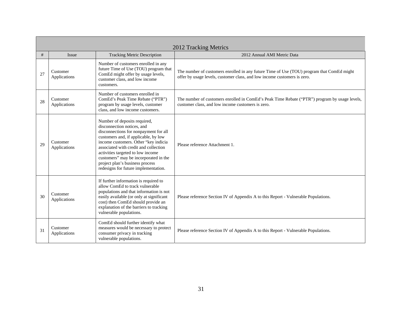|    | 2012 Tracking Metrics    |                                                                                                                                                                                                                                                                                                                                                                                       |                                                                                                                                                                       |  |
|----|--------------------------|---------------------------------------------------------------------------------------------------------------------------------------------------------------------------------------------------------------------------------------------------------------------------------------------------------------------------------------------------------------------------------------|-----------------------------------------------------------------------------------------------------------------------------------------------------------------------|--|
| #  | Issue                    | <b>Tracking Metric Description</b>                                                                                                                                                                                                                                                                                                                                                    | 2012 Annual AMI Metric Data                                                                                                                                           |  |
| 27 | Customer<br>Applications | Number of customers enrolled in any<br>future Time of Use (TOU) program that<br>ComEd might offer by usage levels,<br>customer class, and low income<br>customers.                                                                                                                                                                                                                    | The number of customers enrolled in any future Time of Use (TOU) program that ComEd might<br>offer by usage levels, customer class, and low income customers is zero. |  |
| 28 | Customer<br>Applications | Number of customers enrolled in<br>ComEd's Peak Time Rebate ("PTR")<br>program by usage levels, customer<br>class, and low income customers.                                                                                                                                                                                                                                          | The number of customers enrolled in ComEd's Peak Time Rebate ("PTR") program by usage levels,<br>customer class, and low income customers is zero.                    |  |
| 29 | Customer<br>Applications | Number of deposits required,<br>disconnection notices, and<br>disconnections for nonpayment for all<br>customers and, if applicable, by low<br>income customers. Other "key indicia<br>associated with credit and collection<br>activities targeted to low income<br>customers" may be incorporated in the<br>project plan's business process<br>redesigns for future implementation. | Please reference Attachment 1.                                                                                                                                        |  |
| 30 | Customer<br>Applications | If further information is required to<br>allow ComEd to track vulnerable<br>populations and that information is not<br>easily available (or only at significant<br>cost) then ComEd should provide an<br>explanation of the barriers to tracking<br>vulnerable populations.                                                                                                           | Please reference Section IV of Appendix A to this Report - Vulnerable Populations.                                                                                    |  |
| 31 | Customer<br>Applications | ComEd should further identify what<br>measures would be necessary to protect<br>consumer privacy in tracking<br>vulnerable populations.                                                                                                                                                                                                                                               | Please reference Section IV of Appendix A to this Report - Vulnerable Populations.                                                                                    |  |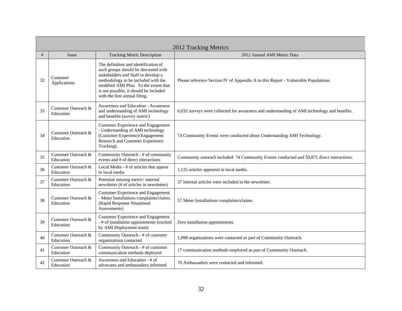|    | 2012 Tracking Metrics            |                                                                                                                                                                                                                                                                                |                                                                                              |  |
|----|----------------------------------|--------------------------------------------------------------------------------------------------------------------------------------------------------------------------------------------------------------------------------------------------------------------------------|----------------------------------------------------------------------------------------------|--|
| #  | Issue                            | <b>Tracking Metric Description</b>                                                                                                                                                                                                                                             | 2012 Annual AMI Metric Data                                                                  |  |
| 32 | Customer<br>Applications         | The definition and identification of<br>such groups should be discussed with<br>stakeholders and Staff to develop a<br>methodology to be included with the<br>modified AMI Plan. To the extent that<br>is not possible, it should be included<br>with the first annual filing. | Please reference Section IV of Appendix A to this Report - Vulnerable Populations.           |  |
| 33 | Customer Outreach &<br>Education | Awareness and Education - Awareness<br>and understanding of AMI technology<br>and benefits (survey metric)                                                                                                                                                                     | 6,032 surveys were collected for awareness and understanding of AMI technology and benefits. |  |
| 34 | Customer Outreach &<br>Education | <b>Customer Experience and Engagement</b><br>- Understanding of AMI technology<br>(Customer Experience/Engagement<br>Research and Customer Experience<br>Tracking).                                                                                                            | 74 Community Events were conducted about Understanding AMI Technology.                       |  |
| 35 | Customer Outreach &<br>Education | Community Outreach - # of community<br>events and # of direct interactions                                                                                                                                                                                                     | Community outreach included: 74 Community Events conducted and 50,871 direct interactions.   |  |
| 36 | Customer Outreach &<br>Education | Local Media - # of articles that appear<br>in local media                                                                                                                                                                                                                      | 1,125 articles appeared in local media.                                                      |  |
| 37 | Customer Outreach &<br>Education | Potential missing metric: internal<br>newsletter (# of articles in newsletter)                                                                                                                                                                                                 | 37 internal articles were included in the newsletter.                                        |  |
| 38 | Customer Outreach &<br>Education | <b>Customer Experience and Engagement</b><br>- Meter Installations complaints/claims<br>(Rapid Response Situational<br>Assessments)                                                                                                                                            | 57 Meter Installations complaints/claims.                                                    |  |
| 39 | Customer Outreach &<br>Education | <b>Customer Experience and Engagement</b><br>- # of installation appointments (tracked<br>by AMI Deployment team)                                                                                                                                                              | Zero installation appointments.                                                              |  |
| 40 | Customer Outreach &<br>Education | Community Outreach - # of customer<br>organizations contacted                                                                                                                                                                                                                  | 1,098 organizations were contacted as part of Community Outreach.                            |  |
| 41 | Customer Outreach &<br>Education | Community Outreach - # of customer<br>communication methods deployed                                                                                                                                                                                                           | 17 communication methods employed as part of Community Outreach.                             |  |
| 42 | Customer Outreach &<br>Education | Awareness and Education - # of<br>advocates and ambassadors informed                                                                                                                                                                                                           | 70 Ambassadors were contacted and informed.                                                  |  |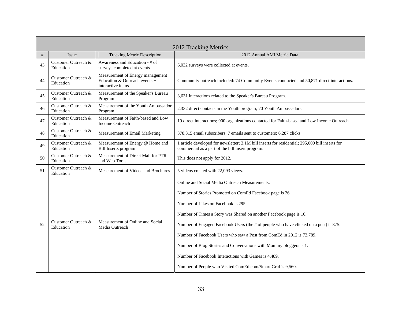|    | 2012 Tracking Metrics            |                                                                                        |                                                                                                                                                     |  |
|----|----------------------------------|----------------------------------------------------------------------------------------|-----------------------------------------------------------------------------------------------------------------------------------------------------|--|
| #  | <b>Issue</b>                     | <b>Tracking Metric Description</b>                                                     | 2012 Annual AMI Metric Data                                                                                                                         |  |
| 43 | Customer Outreach &<br>Education | Awareness and Education - # of<br>surveys completed at events                          | 6,032 surveys were collected at events.                                                                                                             |  |
| 44 | Customer Outreach &<br>Education | Measurement of Energy management<br>Education & Outreach events +<br>interactive items | Community outreach included: 74 Community Events conducted and 50,871 direct interactions.                                                          |  |
| 45 | Customer Outreach &<br>Education | Measurement of the Speaker's Bureau<br>Program                                         | 3,631 interactions related to the Speaker's Bureau Program.                                                                                         |  |
| 46 | Customer Outreach &<br>Education | Measurement of the Youth Ambassador<br>Program                                         | 2,332 direct contacts in the Youth program; 70 Youth Ambassadors.                                                                                   |  |
| 47 | Customer Outreach &<br>Education | Measurement of Faith-based and Low<br><b>Income Outreach</b>                           | 19 direct interactions; 900 organizations contacted for Faith-based and Low Income Outreach.                                                        |  |
| 48 | Customer Outreach &<br>Education | Measurement of Email Marketing                                                         | 378,315 email subscribers; 7 emails sent to customers; 6,287 clicks.                                                                                |  |
| 49 | Customer Outreach &<br>Education | Measurement of Energy @ Home and<br>Bill Inserts program                               | 1 article developed for newsletter; 3.1M bill inserts for residential; 295,000 bill inserts for<br>commercial as a part of the bill insert program. |  |
| 50 | Customer Outreach &<br>Education | Measurement of Direct Mail for PTR<br>and Web Tools                                    | This does not apply for 2012.                                                                                                                       |  |
| 51 | Customer Outreach &<br>Education | Measurement of Videos and Brochures                                                    | 5 videos created with 22,093 views.                                                                                                                 |  |
|    |                                  |                                                                                        | Online and Social Media Outreach Measurements:                                                                                                      |  |
|    |                                  |                                                                                        | Number of Stories Promoted on ComEd Facebook page is 26.                                                                                            |  |
|    |                                  |                                                                                        | Number of Likes on Facebook is 295.                                                                                                                 |  |
|    |                                  |                                                                                        | Number of Times a Story was Shared on another Facebook page is 16.                                                                                  |  |
| 52 | Customer Outreach &<br>Education | Measurement of Online and Social<br>Media Outreach                                     | Number of Engaged Facebook Users (the # of people who have clicked on a post) is 375.                                                               |  |
|    |                                  |                                                                                        | Number of Facebook Users who saw a Post from ComEd in 2012 is 72,789.                                                                               |  |
|    |                                  |                                                                                        | Number of Blog Stories and Conversations with Mommy bloggers is 1.                                                                                  |  |
|    |                                  |                                                                                        | Number of Facebook Interactions with Games is 4,489.                                                                                                |  |
|    |                                  |                                                                                        | Number of People who Visited ComEd.com/Smart Grid is 9,560.                                                                                         |  |